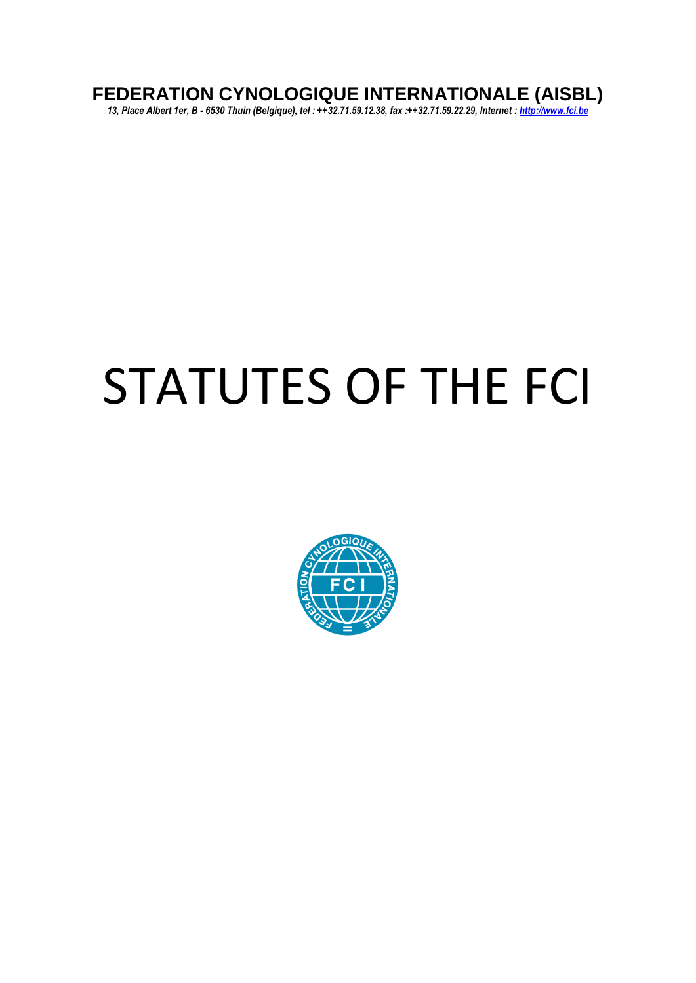# **FEDERATION CYNOLOGIQUE INTERNATIONALE (AISBL)**

*13, Place Albert 1er, B - 6530 Thuin (Belgique), tel : ++32.71.59.12.38, fax :++32.71.59.22.29, Internet [: http://www.fci.be](http://www.fci.be/)*

# STATUTES OF THE FCI

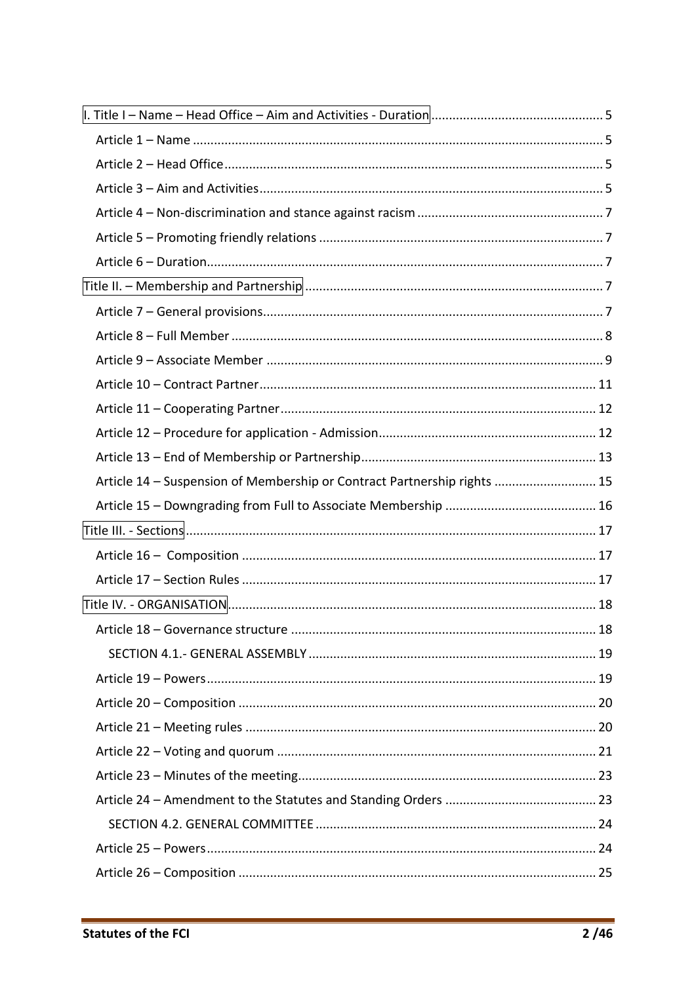| Article 14 - Suspension of Membership or Contract Partnership rights  15 |  |
|--------------------------------------------------------------------------|--|
|                                                                          |  |
|                                                                          |  |
|                                                                          |  |
|                                                                          |  |
|                                                                          |  |
|                                                                          |  |
|                                                                          |  |
|                                                                          |  |
|                                                                          |  |
|                                                                          |  |
|                                                                          |  |
|                                                                          |  |
|                                                                          |  |
|                                                                          |  |
|                                                                          |  |
|                                                                          |  |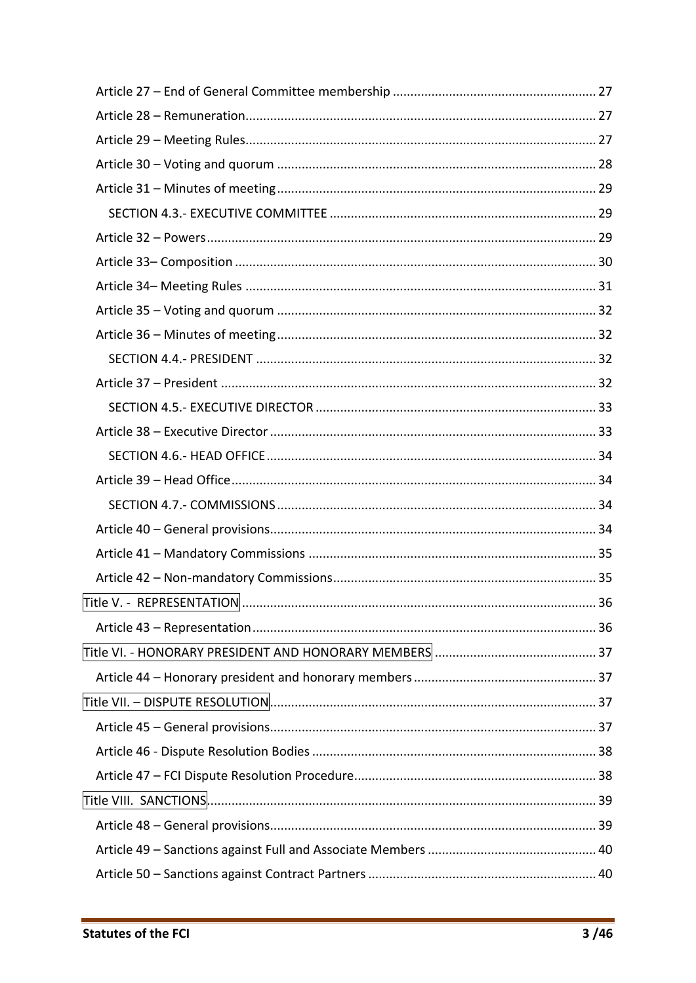| Title V. - REPRESENTATION. | 36 |
|----------------------------|----|
|                            |    |
|                            |    |
|                            |    |
|                            |    |
|                            |    |
|                            |    |
|                            |    |
|                            |    |
|                            |    |
|                            |    |
|                            |    |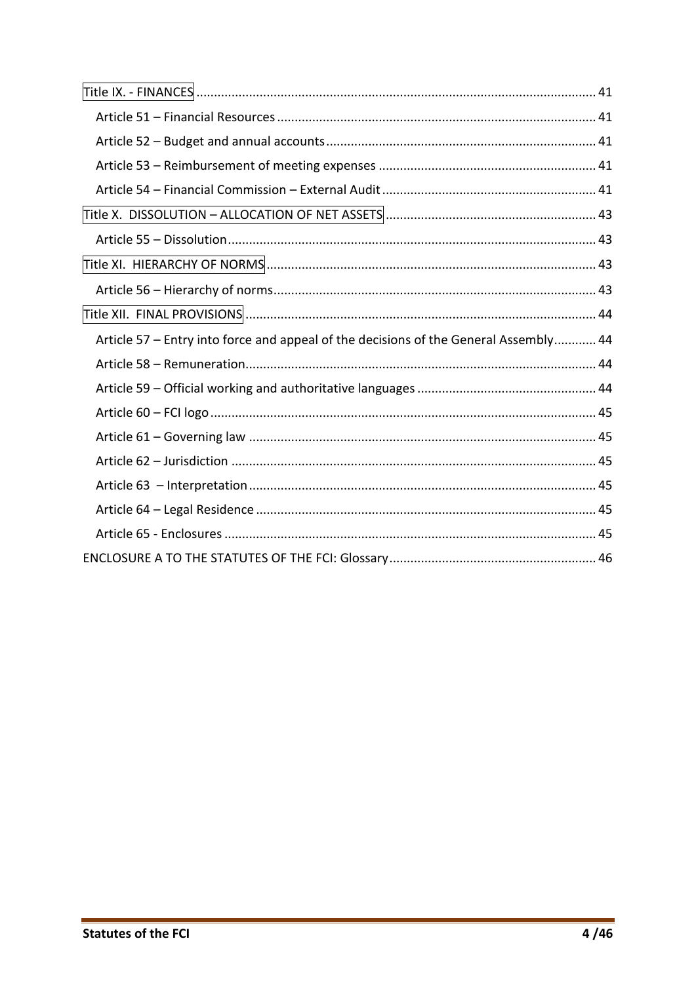| Article 57 - Entry into force and appeal of the decisions of the General Assembly 44 |  |
|--------------------------------------------------------------------------------------|--|
|                                                                                      |  |
|                                                                                      |  |
|                                                                                      |  |
|                                                                                      |  |
|                                                                                      |  |
|                                                                                      |  |
|                                                                                      |  |
|                                                                                      |  |
|                                                                                      |  |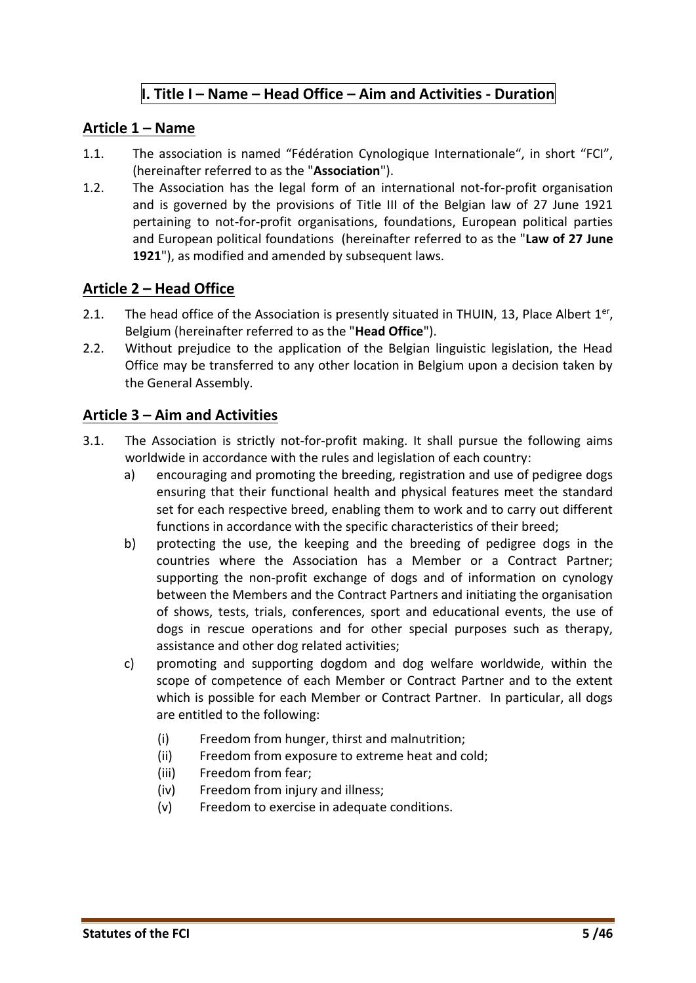#### **I. Title I – Name – Head Office – Aim and Activities - Duration**

#### <span id="page-4-1"></span><span id="page-4-0"></span>**Article 1 – Name**

- 1.1. The association is named "Fédération Cynologique Internationale", in short "FCI", (hereinafter referred to as the "**Association**").
- 1.2. The Association has the legal form of an international not-for-profit organisation and is governed by the provisions of Title III of the Belgian law of 27 June 1921 pertaining to not-for-profit organisations, foundations, European political parties and European political foundations (hereinafter referred to as the "**Law of 27 June 1921**"), as modified and amended by subsequent laws.

#### <span id="page-4-2"></span>**Article 2 – Head Office**

- 2.1. The head office of the Association is presently situated in THUIN, 13, Place Albert  $1<sup>er</sup>$ , Belgium (hereinafter referred to as the "**Head Office**").
- 2.2. Without prejudice to the application of the Belgian linguistic legislation, the Head Office may be transferred to any other location in Belgium upon a decision taken by the General Assembly.

#### <span id="page-4-3"></span>**Article 3 – Aim and Activities**

- 3.1. The Association is strictly not-for-profit making. It shall pursue the following aims worldwide in accordance with the rules and legislation of each country:
	- a) encouraging and promoting the breeding, registration and use of pedigree dogs ensuring that their functional health and physical features meet the standard set for each respective breed, enabling them to work and to carry out different functions in accordance with the specific characteristics of their breed;
	- b) protecting the use, the keeping and the breeding of pedigree dogs in the countries where the Association has a Member or a Contract Partner; supporting the non-profit exchange of dogs and of information on cynology between the Members and the Contract Partners and initiating the organisation of shows, tests, trials, conferences, sport and educational events, the use of dogs in rescue operations and for other special purposes such as therapy, assistance and other dog related activities;
	- c) promoting and supporting dogdom and dog welfare worldwide, within the scope of competence of each Member or Contract Partner and to the extent which is possible for each Member or Contract Partner. In particular, all dogs are entitled to the following:
		- (i) Freedom from hunger, thirst and malnutrition;
		- (ii) Freedom from exposure to extreme heat and cold;
		- (iii) Freedom from fear;
		- (iv) Freedom from injury and illness;
		- (v) Freedom to exercise in adequate conditions.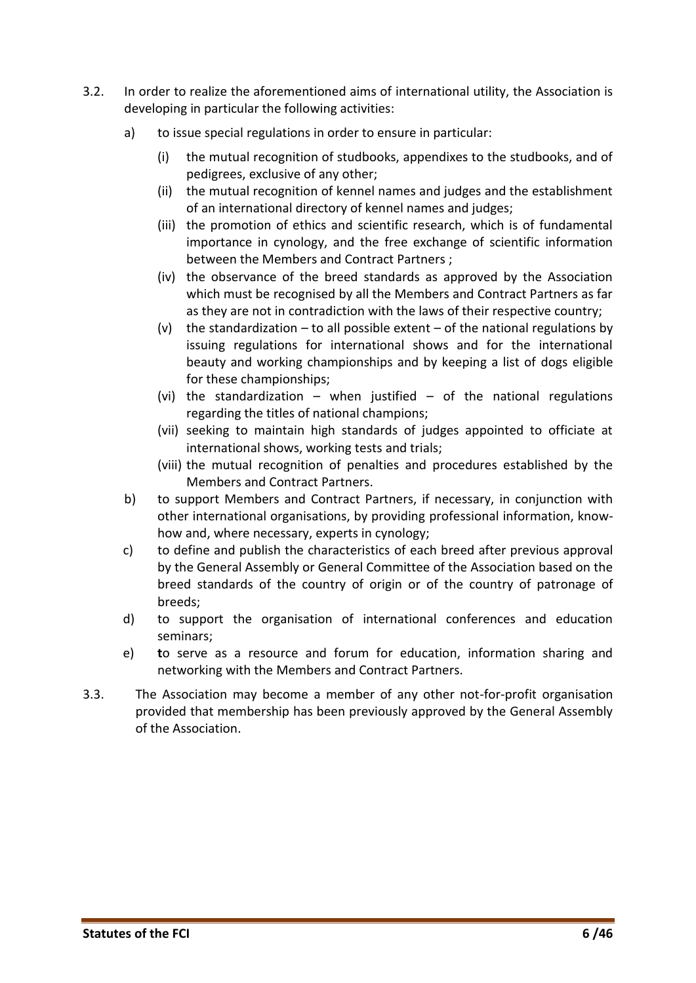- 3.2. In order to realize the aforementioned aims of international utility, the Association is developing in particular the following activities:
	- a) to issue special regulations in order to ensure in particular:
		- (i) the mutual recognition of studbooks, appendixes to the studbooks, and of pedigrees, exclusive of any other;
		- (ii) the mutual recognition of kennel names and judges and the establishment of an international directory of kennel names and judges;
		- (iii) the promotion of ethics and scientific research, which is of fundamental importance in cynology, and the free exchange of scientific information between the Members and Contract Partners ;
		- (iv) the observance of the breed standards as approved by the Association which must be recognised by all the Members and Contract Partners as far as they are not in contradiction with the laws of their respective country;
		- (v) the standardization to all possible extent of the national regulations by issuing regulations for international shows and for the international beauty and working championships and by keeping a list of dogs eligible for these championships;
		- (vi) the standardization when justified of the national regulations regarding the titles of national champions;
		- (vii) seeking to maintain high standards of judges appointed to officiate at international shows, working tests and trials;
		- (viii) the mutual recognition of penalties and procedures established by the Members and Contract Partners.
	- b) to support Members and Contract Partners, if necessary, in conjunction with other international organisations, by providing professional information, knowhow and, where necessary, experts in cynology;
	- c) to define and publish the characteristics of each breed after previous approval by the General Assembly or General Committee of the Association based on the breed standards of the country of origin or of the country of patronage of breeds;
	- d) to support the organisation of international conferences and education seminars;
	- e) **t**o serve as a resource and forum for education, information sharing and networking with the Members and Contract Partners.
- 3.3. The Association may become a member of any other not-for-profit organisation provided that membership has been previously approved by the General Assembly of the Association.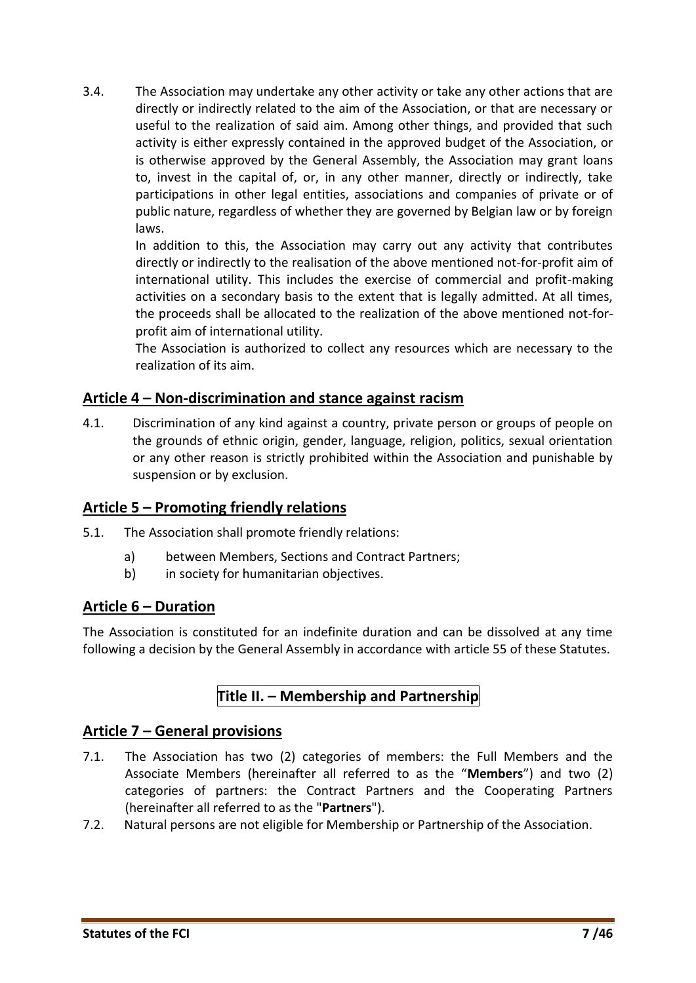3.4. The Association may undertake any other activity or take any other actions that are directly or indirectly related to the aim of the Association, or that are necessary or useful to the realization of said aim. Among other things, and provided that such activity is either expressly contained in the approved budget of the Association, or is otherwise approved by the General Assembly, the Association may grant loans to, invest in the capital of, or, in any other manner, directly or indirectly, take participations in other legal entities, associations and companies of private or of public nature, regardless of whether they are governed by Belgian law or by foreign laws.

In addition to this, the Association may carry out any activity that contributes directly or indirectly to the realisation of the above mentioned not-for-profit aim of international utility. This includes the exercise of commercial and profit-making activities on a secondary basis to the extent that is legally admitted. At all times, the proceeds shall be allocated to the realization of the above mentioned not-forprofit aim of international utility.

The Association is authorized to collect any resources which are necessary to the realization of its aim.

#### <span id="page-6-0"></span>**Article 4 – Non-discrimination and stance against racism**

4.1. Discrimination of any kind against a country, private person or groups of people on the grounds of ethnic origin, gender, language, religion, politics, sexual orientation or any other reason is strictly prohibited within the Association and punishable by suspension or by exclusion.

# <span id="page-6-1"></span>**Article 5 – Promoting friendly relations**

- 5.1. The Association shall promote friendly relations:
	- a) between Members, Sections and Contract Partners;
	- b) in society for humanitarian objectives.

#### <span id="page-6-2"></span>**Article 6 – Duration**

<span id="page-6-3"></span>The Association is constituted for an indefinite duration and can be dissolved at any time following a decision by the General Assembly in accordance with article 55 of these Statutes.

# **Title II. – Membership and Partnership**

#### <span id="page-6-4"></span>**Article 7 – General provisions**

- 7.1. The Association has two (2) categories of members: the Full Members and the Associate Members (hereinafter all referred to as the "**Members**") and two (2) categories of partners: the Contract Partners and the Cooperating Partners (hereinafter all referred to as the "**Partners**").
- 7.2. Natural persons are not eligible for Membership or Partnership of the Association.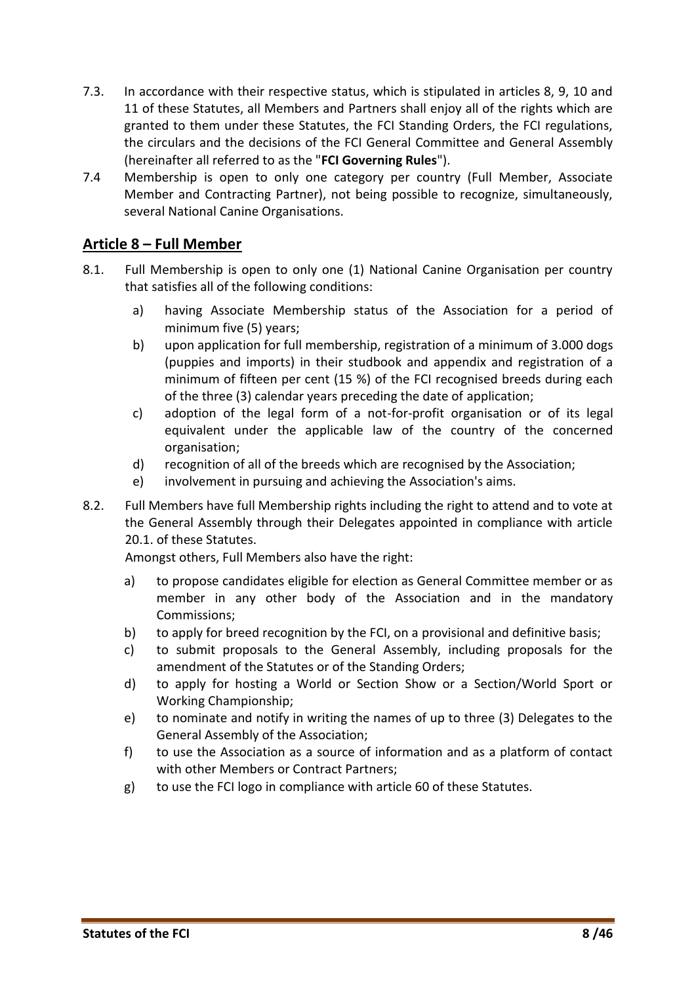- 7.3. In accordance with their respective status, which is stipulated in articles 8, 9, 10 and 11 of these Statutes, all Members and Partners shall enjoy all of the rights which are granted to them under these Statutes, the FCI Standing Orders, the FCI regulations, the circulars and the decisions of the FCI General Committee and General Assembly (hereinafter all referred to as the "**FCI Governing Rules**").
- 7.4 Membership is open to only one category per country (Full Member, Associate Member and Contracting Partner), not being possible to recognize, simultaneously, several National Canine Organisations.

#### <span id="page-7-0"></span>**Article 8 – Full Member**

- 8.1. Full Membership is open to only one (1) National Canine Organisation per country that satisfies all of the following conditions:
	- a) having Associate Membership status of the Association for a period of minimum five (5) years;
	- b) upon application for full membership, registration of a minimum of 3.000 dogs (puppies and imports) in their studbook and appendix and registration of a minimum of fifteen per cent (15 %) of the FCI recognised breeds during each of the three (3) calendar years preceding the date of application;
	- c) adoption of the legal form of a not-for-profit organisation or of its legal equivalent under the applicable law of the country of the concerned organisation;
	- d) recognition of all of the breeds which are recognised by the Association;
	- e) involvement in pursuing and achieving the Association's aims.
- 8.2. Full Members have full Membership rights including the right to attend and to vote at the General Assembly through their Delegates appointed in compliance with article 20.1. of these Statutes.

Amongst others, Full Members also have the right:

- a) to propose candidates eligible for election as General Committee member or as member in any other body of the Association and in the mandatory Commissions;
- b) to apply for breed recognition by the FCI, on a provisional and definitive basis;
- c) to submit proposals to the General Assembly, including proposals for the amendment of the Statutes or of the Standing Orders;
- d) to apply for hosting a World or Section Show or a Section/World Sport or Working Championship;
- e) to nominate and notify in writing the names of up to three (3) Delegates to the General Assembly of the Association;
- f) to use the Association as a source of information and as a platform of contact with other Members or Contract Partners;
- g) to use the FCI logo in compliance with article 60 of these Statutes.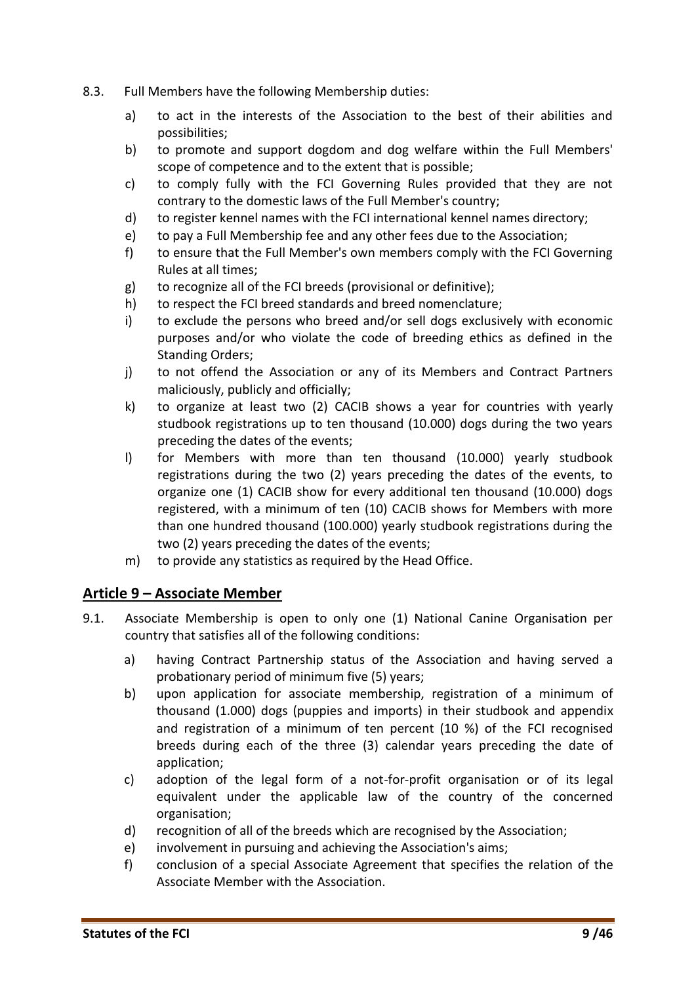- 8.3. Full Members have the following Membership duties:
	- a) to act in the interests of the Association to the best of their abilities and possibilities;
	- b) to promote and support dogdom and dog welfare within the Full Members' scope of competence and to the extent that is possible;
	- c) to comply fully with the FCI Governing Rules provided that they are not contrary to the domestic laws of the Full Member's country;
	- d) to register kennel names with the FCI international kennel names directory;
	- e) to pay a Full Membership fee and any other fees due to the Association;
	- f) to ensure that the Full Member's own members comply with the FCI Governing Rules at all times;
	- g) to recognize all of the FCI breeds (provisional or definitive);
	- h) to respect the FCI breed standards and breed nomenclature;
	- i) to exclude the persons who breed and/or sell dogs exclusively with economic purposes and/or who violate the code of breeding ethics as defined in the Standing Orders;
	- j) to not offend the Association or any of its Members and Contract Partners maliciously, publicly and officially;
	- k) to organize at least two (2) CACIB shows a year for countries with yearly studbook registrations up to ten thousand (10.000) dogs during the two years preceding the dates of the events;
	- l) for Members with more than ten thousand (10.000) yearly studbook registrations during the two (2) years preceding the dates of the events, to organize one (1) CACIB show for every additional ten thousand (10.000) dogs registered, with a minimum of ten (10) CACIB shows for Members with more than one hundred thousand (100.000) yearly studbook registrations during the two (2) years preceding the dates of the events;
	- m) to provide any statistics as required by the Head Office.

#### <span id="page-8-0"></span>**Article 9 – Associate Member**

- 9.1. Associate Membership is open to only one (1) National Canine Organisation per country that satisfies all of the following conditions:
	- a) having Contract Partnership status of the Association and having served a probationary period of minimum five (5) years;
	- b) upon application for associate membership, registration of a minimum of thousand (1.000) dogs (puppies and imports) in their studbook and appendix and registration of a minimum of ten percent (10 %) of the FCI recognised breeds during each of the three (3) calendar years preceding the date of application;
	- c) adoption of the legal form of a not-for-profit organisation or of its legal equivalent under the applicable law of the country of the concerned organisation;
	- d) recognition of all of the breeds which are recognised by the Association;
	- e) involvement in pursuing and achieving the Association's aims;
	- f) conclusion of a special Associate Agreement that specifies the relation of the Associate Member with the Association.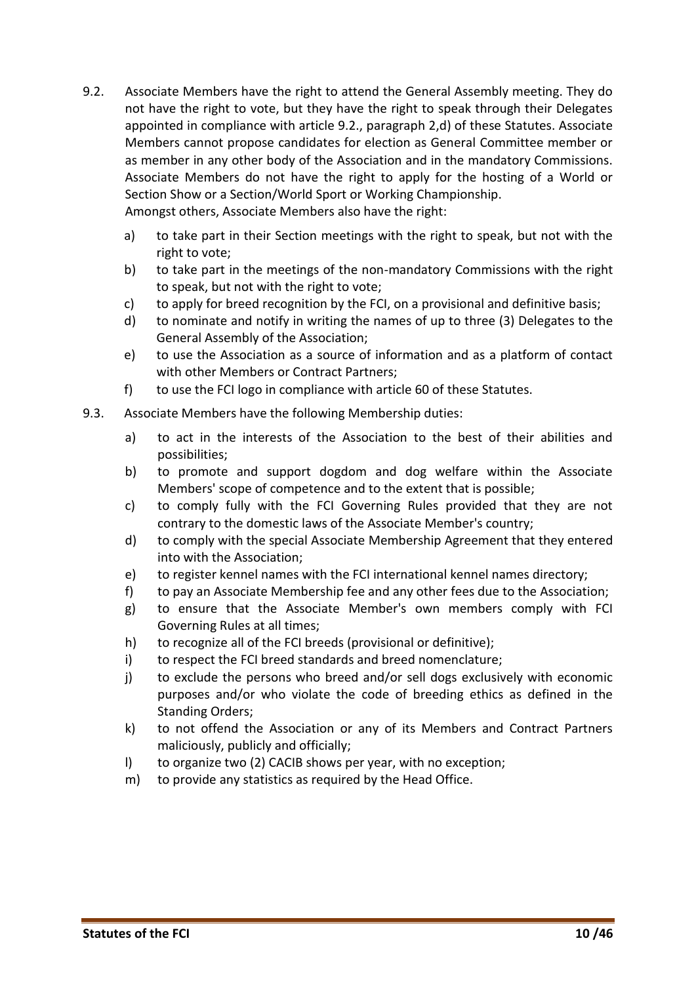9.2. Associate Members have the right to attend the General Assembly meeting. They do not have the right to vote, but they have the right to speak through their Delegates appointed in compliance with article 9.2., paragraph 2,d) of these Statutes. Associate Members cannot propose candidates for election as General Committee member or as member in any other body of the Association and in the mandatory Commissions. Associate Members do not have the right to apply for the hosting of a World or Section Show or a Section/World Sport or Working Championship.

Amongst others, Associate Members also have the right:

- a) to take part in their Section meetings with the right to speak, but not with the right to vote;
- b) to take part in the meetings of the non-mandatory Commissions with the right to speak, but not with the right to vote;
- c) to apply for breed recognition by the FCI, on a provisional and definitive basis;
- d) to nominate and notify in writing the names of up to three (3) Delegates to the General Assembly of the Association;
- e) to use the Association as a source of information and as a platform of contact with other Members or Contract Partners;
- f) to use the FCI logo in compliance with article 60 of these Statutes.
- 9.3. Associate Members have the following Membership duties:
	- a) to act in the interests of the Association to the best of their abilities and possibilities;
	- b) to promote and support dogdom and dog welfare within the Associate Members' scope of competence and to the extent that is possible;
	- c) to comply fully with the FCI Governing Rules provided that they are not contrary to the domestic laws of the Associate Member's country;
	- d) to comply with the special Associate Membership Agreement that they entered into with the Association;
	- e) to register kennel names with the FCI international kennel names directory;
	- f) to pay an Associate Membership fee and any other fees due to the Association;
	- g) to ensure that the Associate Member's own members comply with FCI Governing Rules at all times;
	- h) to recognize all of the FCI breeds (provisional or definitive);
	- i) to respect the FCI breed standards and breed nomenclature;
	- j) to exclude the persons who breed and/or sell dogs exclusively with economic purposes and/or who violate the code of breeding ethics as defined in the Standing Orders;
	- k) to not offend the Association or any of its Members and Contract Partners maliciously, publicly and officially;
	- l) to organize two (2) CACIB shows per year, with no exception;
	- m) to provide any statistics as required by the Head Office.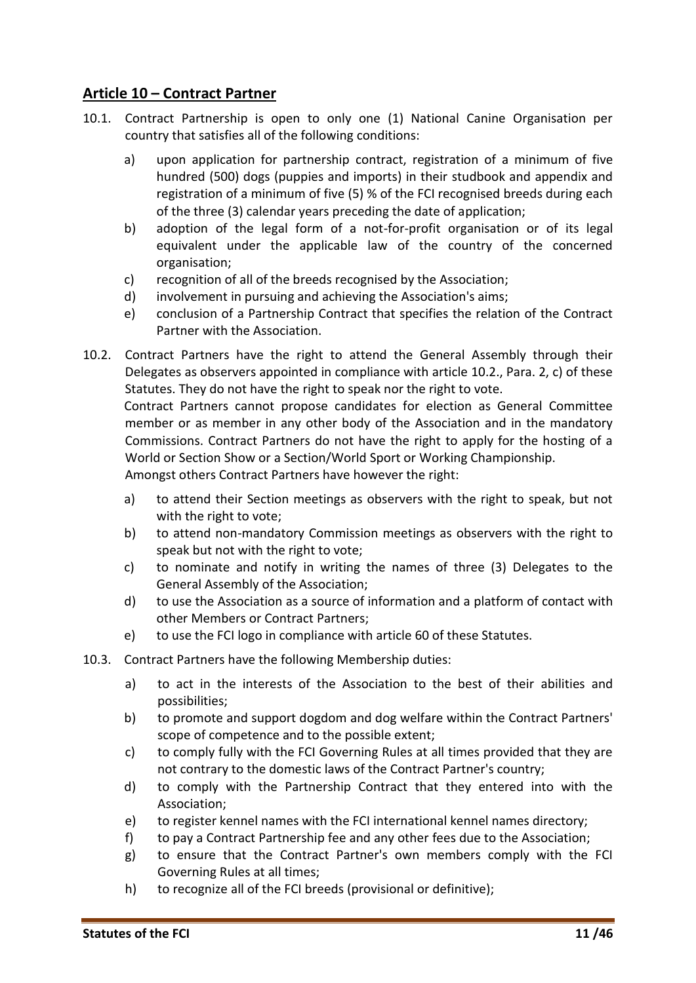### <span id="page-10-0"></span>**Article 10 – Contract Partner**

- 10.1. Contract Partnership is open to only one (1) National Canine Organisation per country that satisfies all of the following conditions:
	- a) upon application for partnership contract, registration of a minimum of five hundred (500) dogs (puppies and imports) in their studbook and appendix and registration of a minimum of five (5) % of the FCI recognised breeds during each of the three (3) calendar years preceding the date of application;
	- b) adoption of the legal form of a not-for-profit organisation or of its legal equivalent under the applicable law of the country of the concerned organisation;
	- c) recognition of all of the breeds recognised by the Association;
	- d) involvement in pursuing and achieving the Association's aims;
	- e) conclusion of a Partnership Contract that specifies the relation of the Contract Partner with the Association.
- 10.2. Contract Partners have the right to attend the General Assembly through their Delegates as observers appointed in compliance with article 10.2., Para. 2, c) of these Statutes. They do not have the right to speak nor the right to vote. Contract Partners cannot propose candidates for election as General Committee member or as member in any other body of the Association and in the mandatory Commissions. Contract Partners do not have the right to apply for the hosting of a World or Section Show or a Section/World Sport or Working Championship.

Amongst others Contract Partners have however the right:

- a) to attend their Section meetings as observers with the right to speak, but not with the right to vote;
- b) to attend non-mandatory Commission meetings as observers with the right to speak but not with the right to vote;
- c) to nominate and notify in writing the names of three (3) Delegates to the General Assembly of the Association;
- d) to use the Association as a source of information and a platform of contact with other Members or Contract Partners;
- e) to use the FCI logo in compliance with article 60 of these Statutes.
- 10.3. Contract Partners have the following Membership duties:
	- a) to act in the interests of the Association to the best of their abilities and possibilities;
	- b) to promote and support dogdom and dog welfare within the Contract Partners' scope of competence and to the possible extent;
	- c) to comply fully with the FCI Governing Rules at all times provided that they are not contrary to the domestic laws of the Contract Partner's country;
	- d) to comply with the Partnership Contract that they entered into with the Association;
	- e) to register kennel names with the FCI international kennel names directory;
	- f) to pay a Contract Partnership fee and any other fees due to the Association;
	- g) to ensure that the Contract Partner's own members comply with the FCI Governing Rules at all times;
	- h) to recognize all of the FCI breeds (provisional or definitive);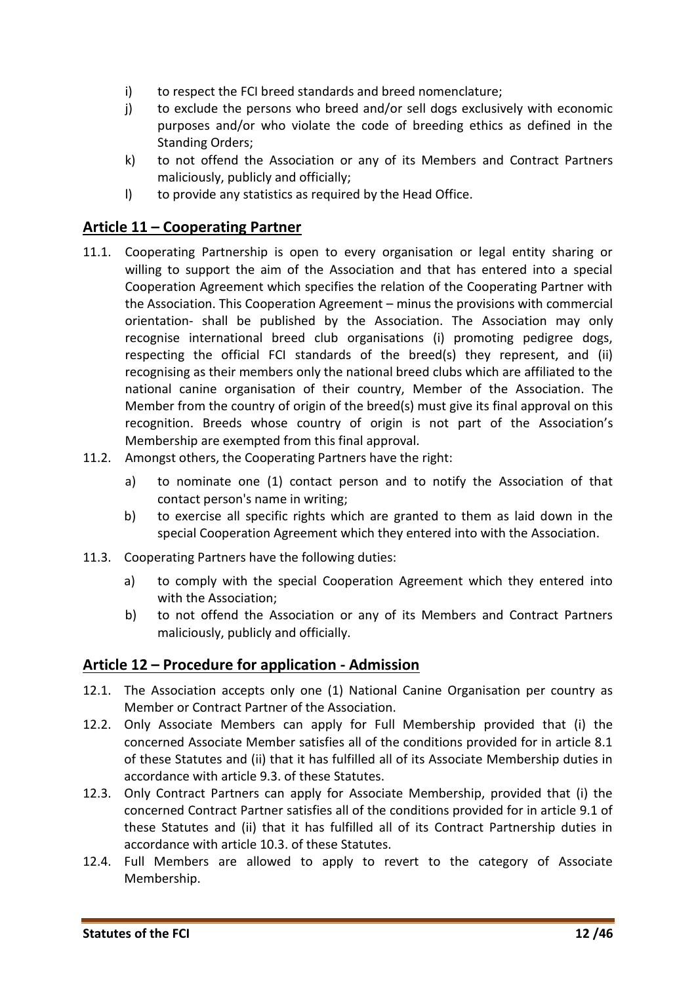- i) to respect the FCI breed standards and breed nomenclature;
- j) to exclude the persons who breed and/or sell dogs exclusively with economic purposes and/or who violate the code of breeding ethics as defined in the Standing Orders;
- k) to not offend the Association or any of its Members and Contract Partners maliciously, publicly and officially;
- l) to provide any statistics as required by the Head Office.

#### <span id="page-11-0"></span>**Article 11 – Cooperating Partner**

- 11.1. Cooperating Partnership is open to every organisation or legal entity sharing or willing to support the aim of the Association and that has entered into a special Cooperation Agreement which specifies the relation of the Cooperating Partner with the Association. This Cooperation Agreement – minus the provisions with commercial orientation- shall be published by the Association. The Association may only recognise international breed club organisations (i) promoting pedigree dogs, respecting the official FCI standards of the breed(s) they represent, and (ii) recognising as their members only the national breed clubs which are affiliated to the national canine organisation of their country, Member of the Association. The Member from the country of origin of the breed(s) must give its final approval on this recognition. Breeds whose country of origin is not part of the Association's Membership are exempted from this final approval.
- 11.2. Amongst others, the Cooperating Partners have the right:
	- a) to nominate one (1) contact person and to notify the Association of that contact person's name in writing;
	- b) to exercise all specific rights which are granted to them as laid down in the special Cooperation Agreement which they entered into with the Association.
- 11.3. Cooperating Partners have the following duties:
	- a) to comply with the special Cooperation Agreement which they entered into with the Association;
	- b) to not offend the Association or any of its Members and Contract Partners maliciously, publicly and officially.

#### <span id="page-11-1"></span>**Article 12 – Procedure for application - Admission**

- 12.1. The Association accepts only one (1) National Canine Organisation per country as Member or Contract Partner of the Association.
- 12.2. Only Associate Members can apply for Full Membership provided that (i) the concerned Associate Member satisfies all of the conditions provided for in article 8.1 of these Statutes and (ii) that it has fulfilled all of its Associate Membership duties in accordance with article 9.3. of these Statutes.
- 12.3. Only Contract Partners can apply for Associate Membership, provided that (i) the concerned Contract Partner satisfies all of the conditions provided for in article 9.1 of these Statutes and (ii) that it has fulfilled all of its Contract Partnership duties in accordance with article 10.3. of these Statutes.
- 12.4. Full Members are allowed to apply to revert to the category of Associate Membership.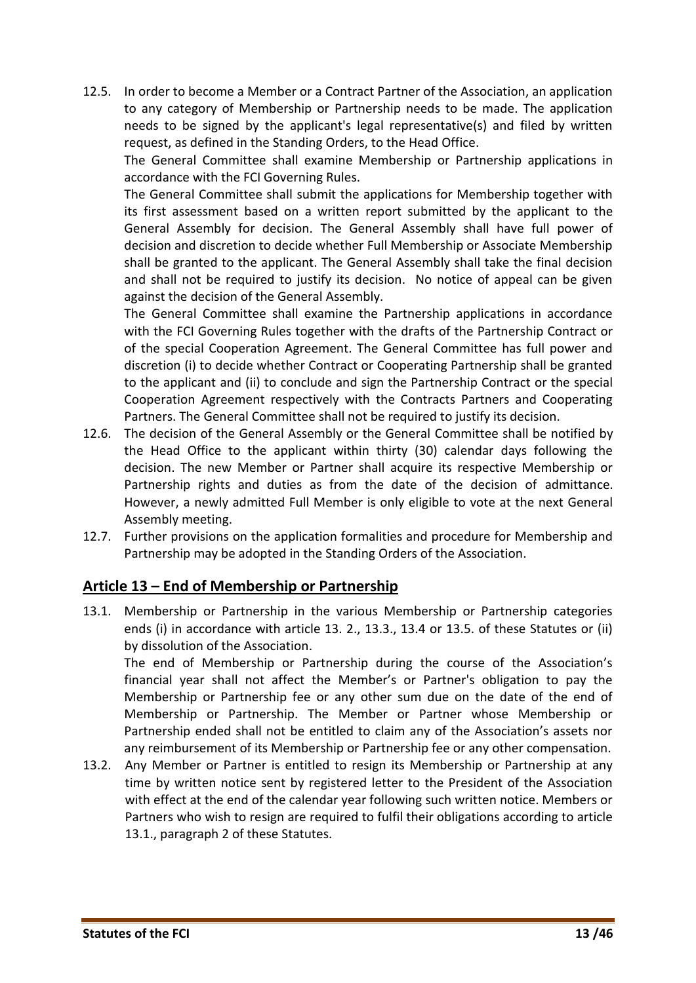12.5. In order to become a Member or a Contract Partner of the Association, an application to any category of Membership or Partnership needs to be made. The application needs to be signed by the applicant's legal representative(s) and filed by written request, as defined in the Standing Orders, to the Head Office.

The General Committee shall examine Membership or Partnership applications in accordance with the FCI Governing Rules.

The General Committee shall submit the applications for Membership together with its first assessment based on a written report submitted by the applicant to the General Assembly for decision. The General Assembly shall have full power of decision and discretion to decide whether Full Membership or Associate Membership shall be granted to the applicant. The General Assembly shall take the final decision and shall not be required to justify its decision. No notice of appeal can be given against the decision of the General Assembly.

The General Committee shall examine the Partnership applications in accordance with the FCI Governing Rules together with the drafts of the Partnership Contract or of the special Cooperation Agreement. The General Committee has full power and discretion (i) to decide whether Contract or Cooperating Partnership shall be granted to the applicant and (ii) to conclude and sign the Partnership Contract or the special Cooperation Agreement respectively with the Contracts Partners and Cooperating Partners. The General Committee shall not be required to justify its decision.

- 12.6. The decision of the General Assembly or the General Committee shall be notified by the Head Office to the applicant within thirty (30) calendar days following the decision. The new Member or Partner shall acquire its respective Membership or Partnership rights and duties as from the date of the decision of admittance. However, a newly admitted Full Member is only eligible to vote at the next General Assembly meeting.
- 12.7. Further provisions on the application formalities and procedure for Membership and Partnership may be adopted in the Standing Orders of the Association.

#### <span id="page-12-0"></span>**Article 13 – End of Membership or Partnership**

13.1. Membership or Partnership in the various Membership or Partnership categories ends (i) in accordance with article 13. 2., 13.3., 13.4 or 13.5. of these Statutes or (ii) by dissolution of the Association.

The end of Membership or Partnership during the course of the Association's financial year shall not affect the Member's or Partner's obligation to pay the Membership or Partnership fee or any other sum due on the date of the end of Membership or Partnership. The Member or Partner whose Membership or Partnership ended shall not be entitled to claim any of the Association's assets nor any reimbursement of its Membership or Partnership fee or any other compensation.

13.2. Any Member or Partner is entitled to resign its Membership or Partnership at any time by written notice sent by registered letter to the President of the Association with effect at the end of the calendar year following such written notice. Members or Partners who wish to resign are required to fulfil their obligations according to article 13.1., paragraph 2 of these Statutes.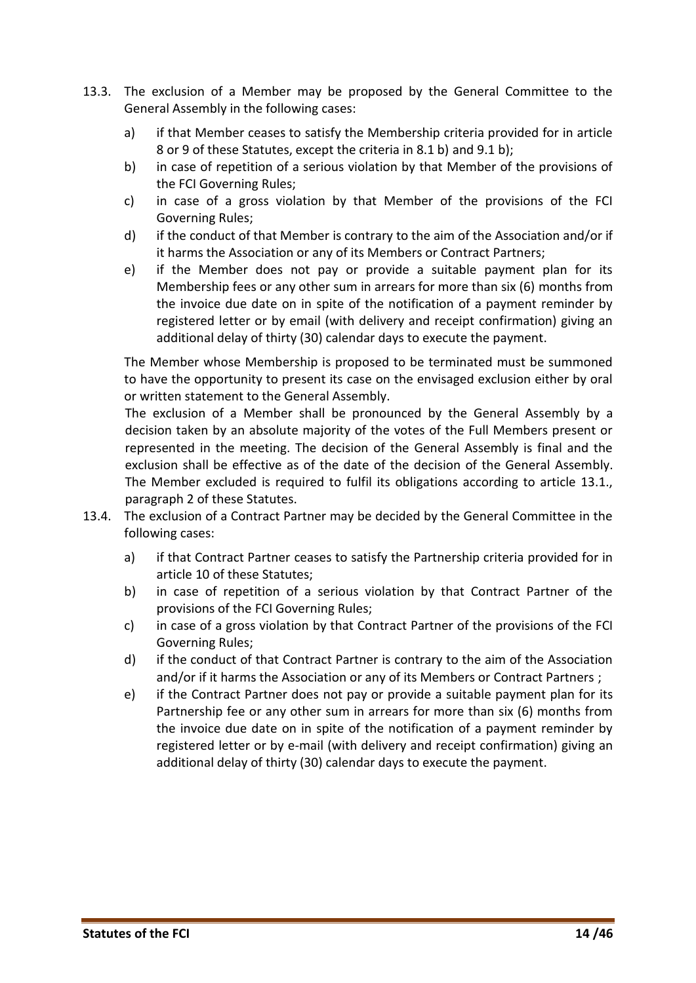- 13.3. The exclusion of a Member may be proposed by the General Committee to the General Assembly in the following cases:
	- a) if that Member ceases to satisfy the Membership criteria provided for in article 8 or 9 of these Statutes, except the criteria in 8.1 b) and 9.1 b);
	- b) in case of repetition of a serious violation by that Member of the provisions of the FCI Governing Rules;
	- c) in case of a gross violation by that Member of the provisions of the FCI Governing Rules;
	- d) if the conduct of that Member is contrary to the aim of the Association and/or if it harms the Association or any of its Members or Contract Partners;
	- e) if the Member does not pay or provide a suitable payment plan for its Membership fees or any other sum in arrears for more than six (6) months from the invoice due date on in spite of the notification of a payment reminder by registered letter or by email (with delivery and receipt confirmation) giving an additional delay of thirty (30) calendar days to execute the payment.

The Member whose Membership is proposed to be terminated must be summoned to have the opportunity to present its case on the envisaged exclusion either by oral or written statement to the General Assembly.

The exclusion of a Member shall be pronounced by the General Assembly by a decision taken by an absolute majority of the votes of the Full Members present or represented in the meeting. The decision of the General Assembly is final and the exclusion shall be effective as of the date of the decision of the General Assembly. The Member excluded is required to fulfil its obligations according to article 13.1., paragraph 2 of these Statutes.

- 13.4. The exclusion of a Contract Partner may be decided by the General Committee in the following cases:
	- a) if that Contract Partner ceases to satisfy the Partnership criteria provided for in article 10 of these Statutes;
	- b) in case of repetition of a serious violation by that Contract Partner of the provisions of the FCI Governing Rules;
	- c) in case of a gross violation by that Contract Partner of the provisions of the FCI Governing Rules;
	- d) if the conduct of that Contract Partner is contrary to the aim of the Association and/or if it harms the Association or any of its Members or Contract Partners ;
	- e) if the Contract Partner does not pay or provide a suitable payment plan for its Partnership fee or any other sum in arrears for more than six (6) months from the invoice due date on in spite of the notification of a payment reminder by registered letter or by e-mail (with delivery and receipt confirmation) giving an additional delay of thirty (30) calendar days to execute the payment.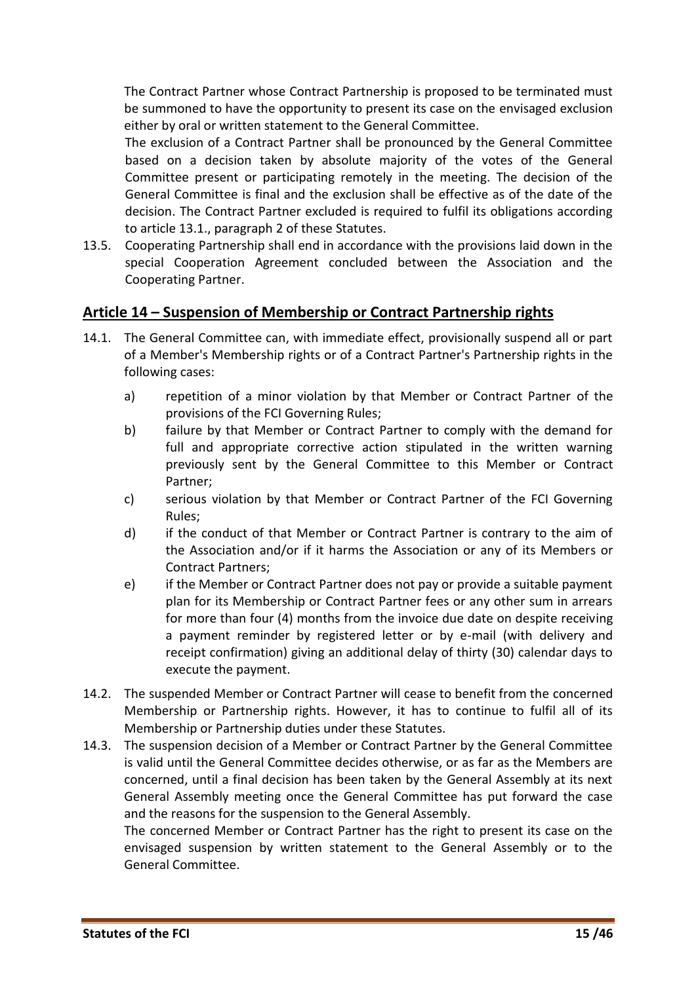The Contract Partner whose Contract Partnership is proposed to be terminated must be summoned to have the opportunity to present its case on the envisaged exclusion either by oral or written statement to the General Committee.

The exclusion of a Contract Partner shall be pronounced by the General Committee based on a decision taken by absolute majority of the votes of the General Committee present or participating remotely in the meeting. The decision of the General Committee is final and the exclusion shall be effective as of the date of the decision. The Contract Partner excluded is required to fulfil its obligations according to article 13.1., paragraph 2 of these Statutes.

13.5. Cooperating Partnership shall end in accordance with the provisions laid down in the special Cooperation Agreement concluded between the Association and the Cooperating Partner.

#### <span id="page-14-0"></span>**Article 14 – Suspension of Membership or Contract Partnership rights**

- 14.1. The General Committee can, with immediate effect, provisionally suspend all or part of a Member's Membership rights or of a Contract Partner's Partnership rights in the following cases:
	- a) repetition of a minor violation by that Member or Contract Partner of the provisions of the FCI Governing Rules;
	- b) failure by that Member or Contract Partner to comply with the demand for full and appropriate corrective action stipulated in the written warning previously sent by the General Committee to this Member or Contract Partner;
	- c) serious violation by that Member or Contract Partner of the FCI Governing Rules;
	- d) if the conduct of that Member or Contract Partner is contrary to the aim of the Association and/or if it harms the Association or any of its Members or Contract Partners;
	- e) if the Member or Contract Partner does not pay or provide a suitable payment plan for its Membership or Contract Partner fees or any other sum in arrears for more than four (4) months from the invoice due date on despite receiving a payment reminder by registered letter or by e-mail (with delivery and receipt confirmation) giving an additional delay of thirty (30) calendar days to execute the payment.
- 14.2. The suspended Member or Contract Partner will cease to benefit from the concerned Membership or Partnership rights. However, it has to continue to fulfil all of its Membership or Partnership duties under these Statutes.
- 14.3. The suspension decision of a Member or Contract Partner by the General Committee is valid until the General Committee decides otherwise, or as far as the Members are concerned, until a final decision has been taken by the General Assembly at its next General Assembly meeting once the General Committee has put forward the case and the reasons for the suspension to the General Assembly.

The concerned Member or Contract Partner has the right to present its case on the envisaged suspension by written statement to the General Assembly or to the General Committee.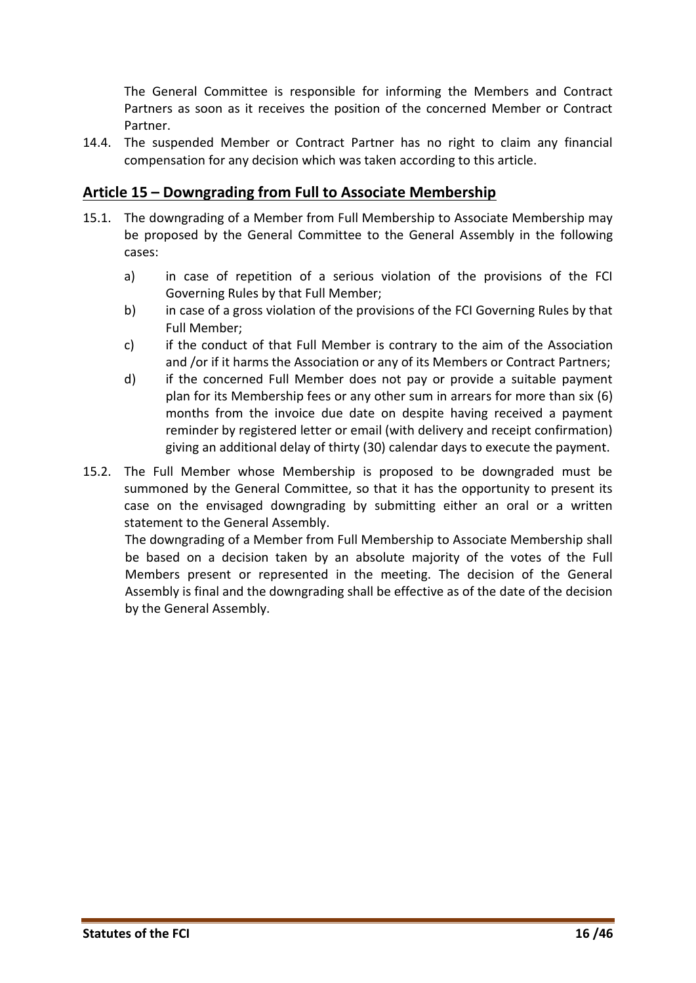The General Committee is responsible for informing the Members and Contract Partners as soon as it receives the position of the concerned Member or Contract Partner.

14.4. The suspended Member or Contract Partner has no right to claim any financial compensation for any decision which was taken according to this article.

## <span id="page-15-0"></span>**Article 15 – Downgrading from Full to Associate Membership**

- 15.1. The downgrading of a Member from Full Membership to Associate Membership may be proposed by the General Committee to the General Assembly in the following cases:
	- a) in case of repetition of a serious violation of the provisions of the FCI Governing Rules by that Full Member;
	- b) in case of a gross violation of the provisions of the FCI Governing Rules by that Full Member;
	- c) if the conduct of that Full Member is contrary to the aim of the Association and /or if it harms the Association or any of its Members or Contract Partners;
	- d) if the concerned Full Member does not pay or provide a suitable payment plan for its Membership fees or any other sum in arrears for more than six (6) months from the invoice due date on despite having received a payment reminder by registered letter or email (with delivery and receipt confirmation) giving an additional delay of thirty (30) calendar days to execute the payment.
- 15.2. The Full Member whose Membership is proposed to be downgraded must be summoned by the General Committee, so that it has the opportunity to present its case on the envisaged downgrading by submitting either an oral or a written statement to the General Assembly.

The downgrading of a Member from Full Membership to Associate Membership shall be based on a decision taken by an absolute majority of the votes of the Full Members present or represented in the meeting. The decision of the General Assembly is final and the downgrading shall be effective as of the date of the decision by the General Assembly.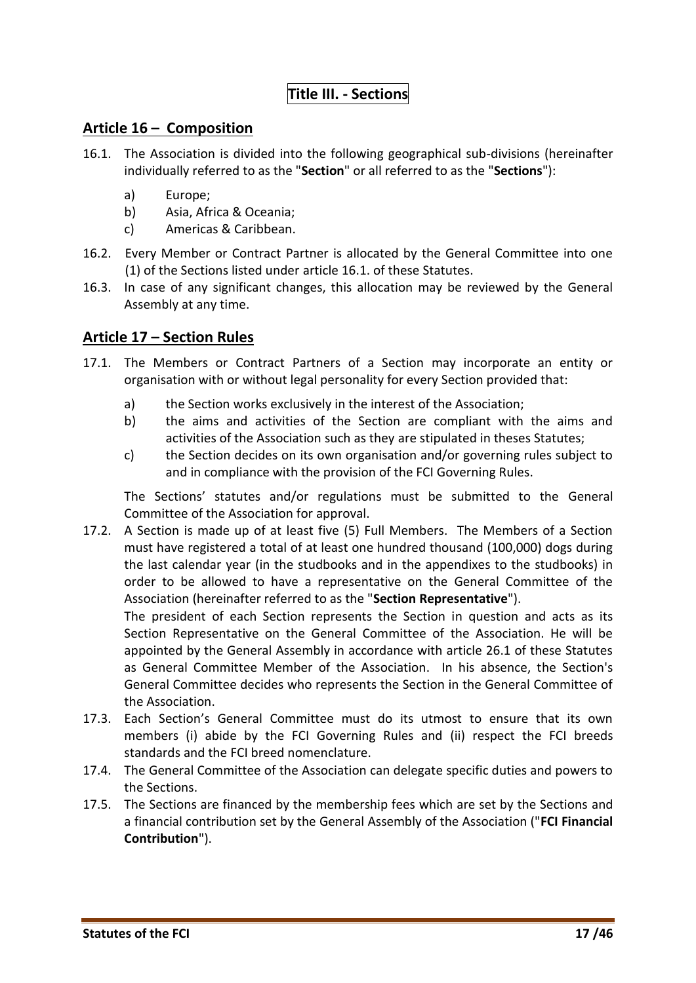# **Title III. - Sections**

#### <span id="page-16-1"></span><span id="page-16-0"></span>**Article 16 – Composition**

- 16.1. The Association is divided into the following geographical sub-divisions (hereinafter individually referred to as the "**Section**" or all referred to as the "**Sections**"):
	- a) Europe;
	- b) Asia, Africa & Oceania;
	- c) Americas & Caribbean.
- 16.2. Every Member or Contract Partner is allocated by the General Committee into one (1) of the Sections listed under article 16.1. of these Statutes.
- 16.3. In case of any significant changes, this allocation may be reviewed by the General Assembly at any time.

# <span id="page-16-2"></span>**Article 17 – Section Rules**

- 17.1. The Members or Contract Partners of a Section may incorporate an entity or organisation with or without legal personality for every Section provided that:
	- a) the Section works exclusively in the interest of the Association;
	- b) the aims and activities of the Section are compliant with the aims and activities of the Association such as they are stipulated in theses Statutes;
	- c) the Section decides on its own organisation and/or governing rules subject to and in compliance with the provision of the FCI Governing Rules.

The Sections' statutes and/or regulations must be submitted to the General Committee of the Association for approval.

17.2. A Section is made up of at least five (5) Full Members. The Members of a Section must have registered a total of at least one hundred thousand (100,000) dogs during the last calendar year (in the studbooks and in the appendixes to the studbooks) in order to be allowed to have a representative on the General Committee of the Association (hereinafter referred to as the "**Section Representative**").

The president of each Section represents the Section in question and acts as its Section Representative on the General Committee of the Association. He will be appointed by the General Assembly in accordance with article 26.1 of these Statutes as General Committee Member of the Association. In his absence, the Section's General Committee decides who represents the Section in the General Committee of the Association.

- 17.3. Each Section's General Committee must do its utmost to ensure that its own members (i) abide by the FCI Governing Rules and (ii) respect the FCI breeds standards and the FCI breed nomenclature.
- 17.4. The General Committee of the Association can delegate specific duties and powers to the Sections.
- 17.5. The Sections are financed by the membership fees which are set by the Sections and a financial contribution set by the General Assembly of the Association ("**FCI Financial Contribution**").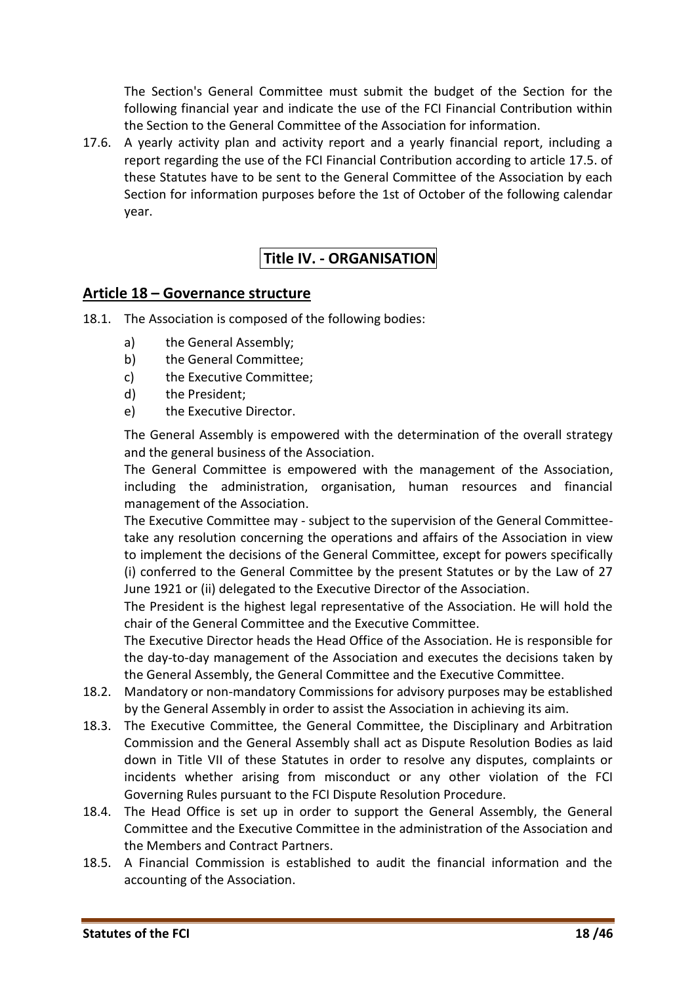The Section's General Committee must submit the budget of the Section for the following financial year and indicate the use of the FCI Financial Contribution within the Section to the General Committee of the Association for information.

17.6. A yearly activity plan and activity report and a yearly financial report, including a report regarding the use of the FCI Financial Contribution according to article 17.5. of these Statutes have to be sent to the General Committee of the Association by each Section for information purposes before the 1st of October of the following calendar year.

# <span id="page-17-0"></span>**Title IV. - ORGANISATION**

#### <span id="page-17-1"></span>**Article 18 – Governance structure**

- 18.1. The Association is composed of the following bodies:
	- a) the General Assembly;
	- b) the General Committee;
	- c) the Executive Committee;
	- d) the President;
	- e) the Executive Director.

The General Assembly is empowered with the determination of the overall strategy and the general business of the Association.

The General Committee is empowered with the management of the Association, including the administration, organisation, human resources and financial management of the Association.

The Executive Committee may - subject to the supervision of the General Committeetake any resolution concerning the operations and affairs of the Association in view to implement the decisions of the General Committee, except for powers specifically (i) conferred to the General Committee by the present Statutes or by the Law of 27 June 1921 or (ii) delegated to the Executive Director of the Association.

The President is the highest legal representative of the Association. He will hold the chair of the General Committee and the Executive Committee.

The Executive Director heads the Head Office of the Association. He is responsible for the day-to-day management of the Association and executes the decisions taken by the General Assembly, the General Committee and the Executive Committee.

- 18.2. Mandatory or non-mandatory Commissions for advisory purposes may be established by the General Assembly in order to assist the Association in achieving its aim.
- 18.3. The Executive Committee, the General Committee, the Disciplinary and Arbitration Commission and the General Assembly shall act as Dispute Resolution Bodies as laid down in Title VII of these Statutes in order to resolve any disputes, complaints or incidents whether arising from misconduct or any other violation of the FCI Governing Rules pursuant to the FCI Dispute Resolution Procedure.
- 18.4. The Head Office is set up in order to support the General Assembly, the General Committee and the Executive Committee in the administration of the Association and the Members and Contract Partners.
- 18.5. A Financial Commission is established to audit the financial information and the accounting of the Association.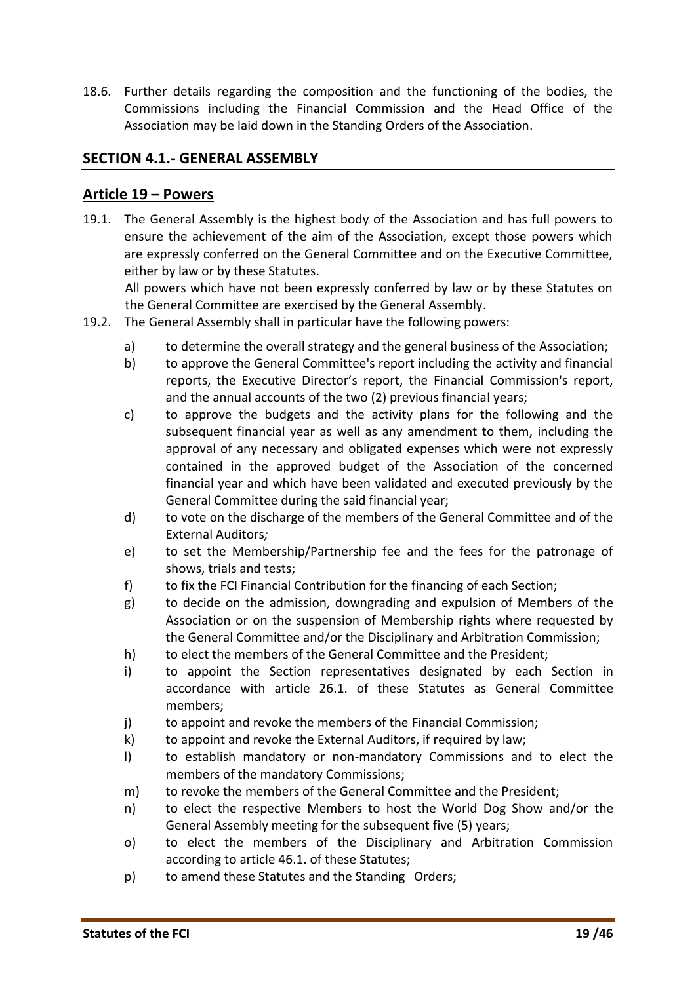18.6. Further details regarding the composition and the functioning of the bodies, the Commissions including the Financial Commission and the Head Office of the Association may be laid down in the Standing Orders of the Association.

# <span id="page-18-0"></span>**SECTION 4.1.- GENERAL ASSEMBLY**

#### <span id="page-18-1"></span>**Article 19 – Powers**

19.1. The General Assembly is the highest body of the Association and has full powers to ensure the achievement of the aim of the Association, except those powers which are expressly conferred on the General Committee and on the Executive Committee, either by law or by these Statutes.

All powers which have not been expressly conferred by law or by these Statutes on the General Committee are exercised by the General Assembly.

- 19.2. The General Assembly shall in particular have the following powers:
	- a) to determine the overall strategy and the general business of the Association;
	- b) to approve the General Committee's report including the activity and financial reports, the Executive Director's report, the Financial Commission's report, and the annual accounts of the two (2) previous financial years;
	- c) to approve the budgets and the activity plans for the following and the subsequent financial year as well as any amendment to them, including the approval of any necessary and obligated expenses which were not expressly contained in the approved budget of the Association of the concerned financial year and which have been validated and executed previously by the General Committee during the said financial year;
	- d) to vote on the discharge of the members of the General Committee and of the External Auditors*;*
	- e) to set the Membership/Partnership fee and the fees for the patronage of shows, trials and tests;
	- f) to fix the FCI Financial Contribution for the financing of each Section;
	- g) to decide on the admission, downgrading and expulsion of Members of the Association or on the suspension of Membership rights where requested by the General Committee and/or the Disciplinary and Arbitration Commission;
	- h) to elect the members of the General Committee and the President;
	- i) to appoint the Section representatives designated by each Section in accordance with article 26.1. of these Statutes as General Committee members;
	- j) to appoint and revoke the members of the Financial Commission;
	- k) to appoint and revoke the External Auditors, if required by law;
	- l) to establish mandatory or non-mandatory Commissions and to elect the members of the mandatory Commissions;
	- m) to revoke the members of the General Committee and the President;
	- n) to elect the respective Members to host the World Dog Show and/or the General Assembly meeting for the subsequent five (5) years;
	- o) to elect the members of the Disciplinary and Arbitration Commission according to article 46.1. of these Statutes;
	- p) to amend these Statutes and the Standing Orders;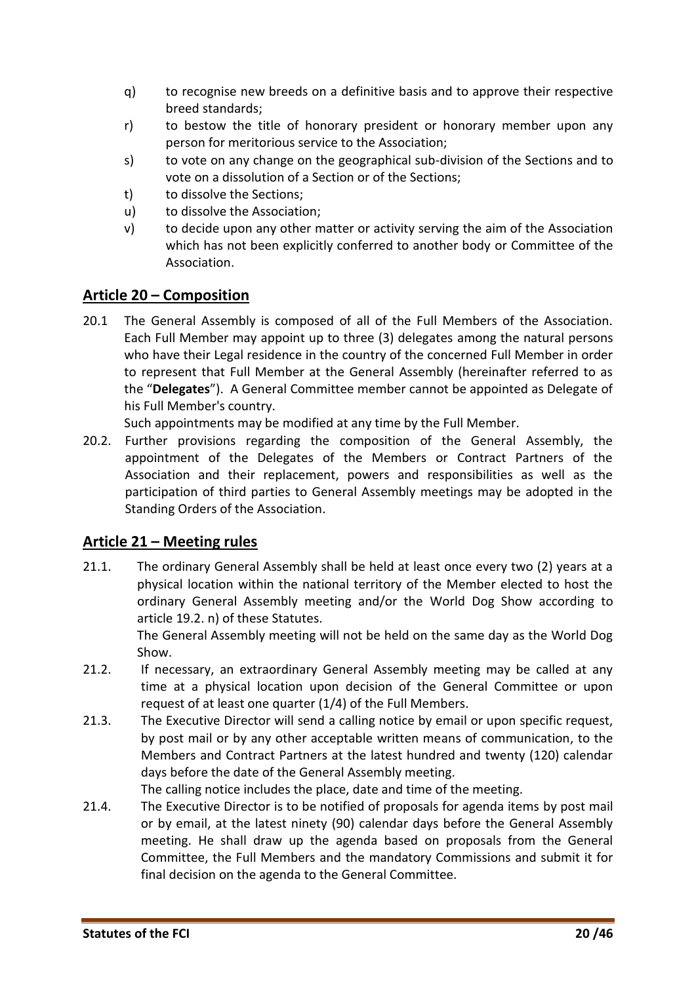- q) to recognise new breeds on a definitive basis and to approve their respective breed standards;
- r) to bestow the title of honorary president or honorary member upon any person for meritorious service to the Association;
- s) to vote on any change on the geographical sub-division of the Sections and to vote on a dissolution of a Section or of the Sections;
- t) to dissolve the Sections;
- u) to dissolve the Association;
- v) to decide upon any other matter or activity serving the aim of the Association which has not been explicitly conferred to another body or Committee of the Association.

#### <span id="page-19-0"></span>**Article 20 – Composition**

20.1 The General Assembly is composed of all of the Full Members of the Association. Each Full Member may appoint up to three (3) delegates among the natural persons who have their Legal residence in the country of the concerned Full Member in order to represent that Full Member at the General Assembly (hereinafter referred to as the "**Delegates**"). A General Committee member cannot be appointed as Delegate of his Full Member's country.

Such appointments may be modified at any time by the Full Member.

20.2. Further provisions regarding the composition of the General Assembly, the appointment of the Delegates of the Members or Contract Partners of the Association and their replacement, powers and responsibilities as well as the participation of third parties to General Assembly meetings may be adopted in the Standing Orders of the Association.

#### <span id="page-19-1"></span>**Article 21 – Meeting rules**

21.1. The ordinary General Assembly shall be held at least once every two (2) years at a physical location within the national territory of the Member elected to host the ordinary General Assembly meeting and/or the World Dog Show according to article 19.2. n) of these Statutes.

> The General Assembly meeting will not be held on the same day as the World Dog Show.

- 21.2. If necessary, an extraordinary General Assembly meeting may be called at any time at a physical location upon decision of the General Committee or upon request of at least one quarter (1/4) of the Full Members.
- 21.3. The Executive Director will send a calling notice by email or upon specific request, by post mail or by any other acceptable written means of communication, to the Members and Contract Partners at the latest hundred and twenty (120) calendar days before the date of the General Assembly meeting.

The calling notice includes the place, date and time of the meeting.

21.4. The Executive Director is to be notified of proposals for agenda items by post mail or by email, at the latest ninety (90) calendar days before the General Assembly meeting. He shall draw up the agenda based on proposals from the General Committee, the Full Members and the mandatory Commissions and submit it for final decision on the agenda to the General Committee.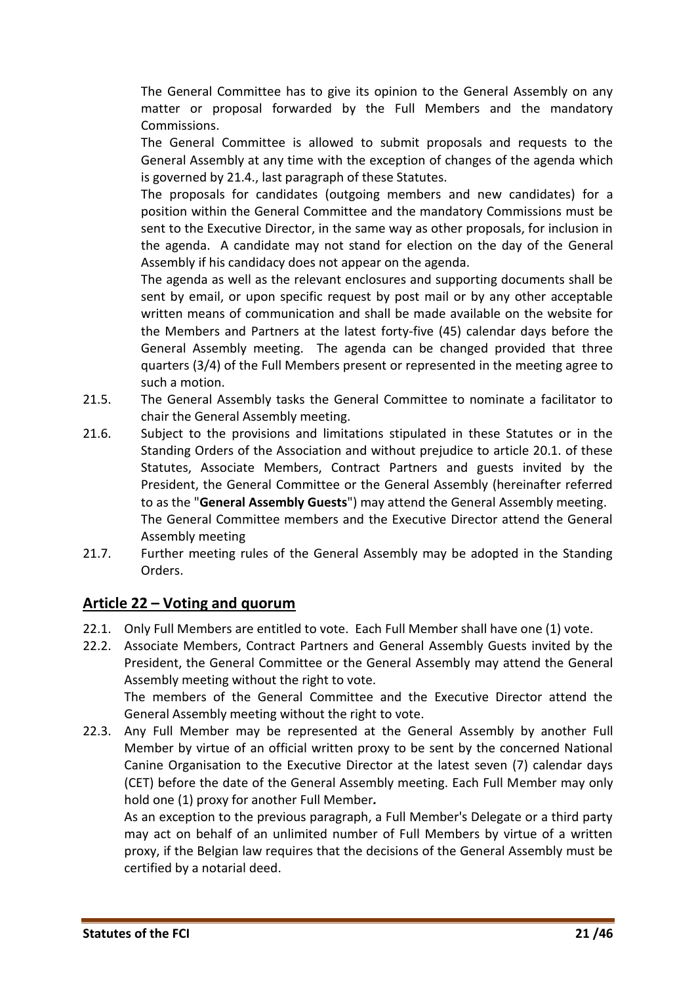The General Committee has to give its opinion to the General Assembly on any matter or proposal forwarded by the Full Members and the mandatory Commissions.

The General Committee is allowed to submit proposals and requests to the General Assembly at any time with the exception of changes of the agenda which is governed by 21.4., last paragraph of these Statutes.

The proposals for candidates (outgoing members and new candidates) for a position within the General Committee and the mandatory Commissions must be sent to the Executive Director, in the same way as other proposals, for inclusion in the agenda. A candidate may not stand for election on the day of the General Assembly if his candidacy does not appear on the agenda.

The agenda as well as the relevant enclosures and supporting documents shall be sent by email, or upon specific request by post mail or by any other acceptable written means of communication and shall be made available on the website for the Members and Partners at the latest forty-five (45) calendar days before the General Assembly meeting. The agenda can be changed provided that three quarters (3/4) of the Full Members present or represented in the meeting agree to such a motion.

- 21.5. The General Assembly tasks the General Committee to nominate a facilitator to chair the General Assembly meeting.
- 21.6. Subject to the provisions and limitations stipulated in these Statutes or in the Standing Orders of the Association and without prejudice to article 20.1. of these Statutes, Associate Members, Contract Partners and guests invited by the President, the General Committee or the General Assembly (hereinafter referred to as the "**General Assembly Guests**") may attend the General Assembly meeting. The General Committee members and the Executive Director attend the General Assembly meeting
- 21.7. Further meeting rules of the General Assembly may be adopted in the Standing Orders.

# <span id="page-20-0"></span>**Article 22 – Voting and quorum**

- 22.1. Only Full Members are entitled to vote. Each Full Member shall have one (1) vote.
- 22.2. Associate Members, Contract Partners and General Assembly Guests invited by the President, the General Committee or the General Assembly may attend the General Assembly meeting without the right to vote. The members of the General Committee and the Executive Director attend the General Assembly meeting without the right to vote.
- 22.3. Any Full Member may be represented at the General Assembly by another Full Member by virtue of an official written proxy to be sent by the concerned National Canine Organisation to the Executive Director at the latest seven (7) calendar days (CET) before the date of the General Assembly meeting. Each Full Member may only hold one (1) proxy for another Full Member*.*

As an exception to the previous paragraph, a Full Member's Delegate or a third party may act on behalf of an unlimited number of Full Members by virtue of a written proxy, if the Belgian law requires that the decisions of the General Assembly must be certified by a notarial deed.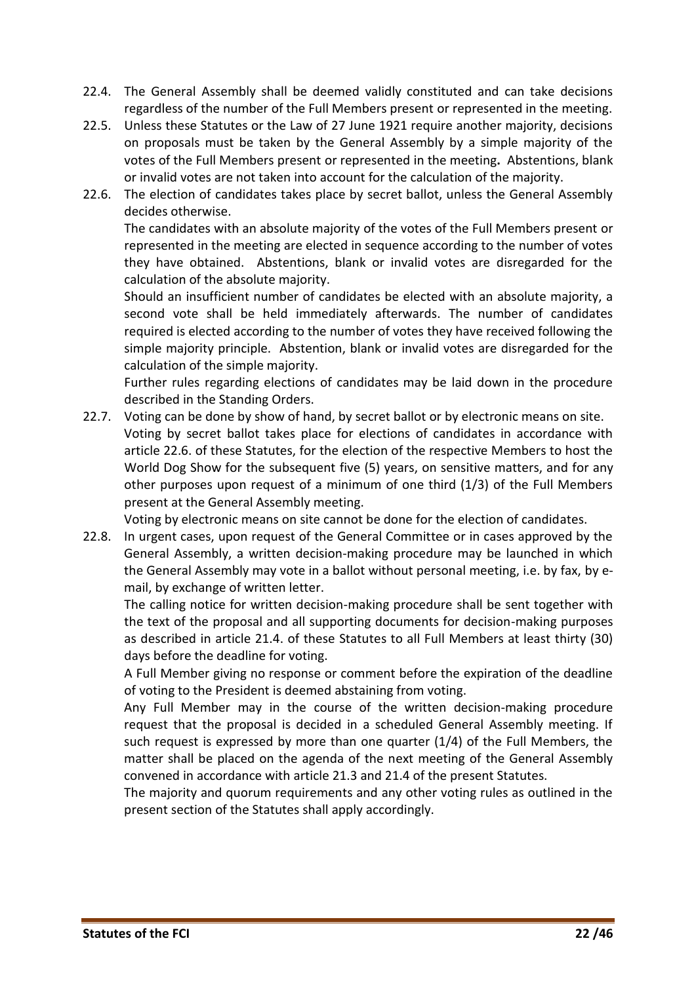- <span id="page-21-0"></span>22.4. The General Assembly shall be deemed validly constituted and can take decisions regardless of the number of the Full Members present or represented in the meeting.
- 22.5. Unless these Statutes or the Law of 27 June 1921 require another majority, decisions on proposals must be taken by the General Assembly by a simple majority of the votes of the Full Members present or represented in the meeting**.** Abstentions, blank or invalid votes are not taken into account for the calculation of the majority.
- 22.6. The election of candidates takes place by secret ballot, unless the General Assembly decides otherwise.

The candidates with an absolute majority of the votes of the Full Members present or represented in the meeting are elected in sequence according to the number of votes they have obtained. Abstentions, blank or invalid votes are disregarded for the calculation of the absolute majority.

Should an insufficient number of candidates be elected with an absolute majority, a second vote shall be held immediately afterwards. The number of candidates required is elected according to the number of votes they have received following the simple majority principle. Abstention, blank or invalid votes are disregarded for the calculation of the simple majority.

Further rules regarding elections of candidates may be laid down in the procedure described in the Standing Orders.

22.7. Voting can be done by show of hand, by secret ballot or by electronic means on site. Voting by secret ballot takes place for elections of candidates in accordance with article 22.6. of these Statutes, for the election of the respective Members to host the World Dog Show for the subsequent five (5) years, on sensitive matters, and for any other purposes upon request of a minimum of one third (1/3) of the Full Members present at the General Assembly meeting.

Voting by electronic means on site cannot be done for the election of candidates.

22.8. In urgent cases, upon request of the General Committee or in cases approved by the General Assembly, a written decision-making procedure may be launched in which the General Assembly may vote in a ballot without personal meeting, i.e. by fax, by email, by exchange of written letter.

The calling notice for written decision-making procedure shall be sent together with the text of the proposal and all supporting documents for decision-making purposes as described in article 21.4. of these Statutes to all Full Members at least thirty (30) days before the deadline for voting.

A Full Member giving no response or comment before the expiration of the deadline of voting to the President is deemed abstaining from voting.

Any Full Member may in the course of the written decision-making procedure request that the proposal is decided in a scheduled General Assembly meeting. If such request is expressed by more than one quarter (1/4) of the Full Members, the matter shall be placed on the agenda of the next meeting of the General Assembly convened in accordance with article 21.3 and 21.4 of the present Statutes.

The majority and quorum requirements and any other voting rules as outlined in the present section of the Statutes shall apply accordingly.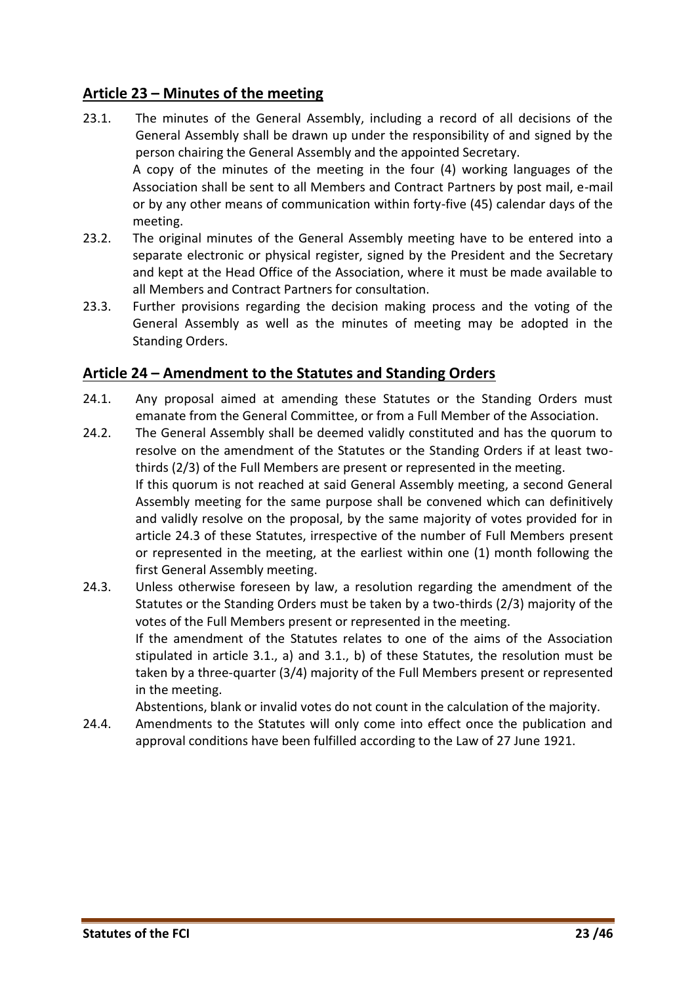# **Article 23 – Minutes of the meeting**

- 23.1. The minutes of the General Assembly, including a record of all decisions of the General Assembly shall be drawn up under the responsibility of and signed by the person chairing the General Assembly and the appointed Secretary. A copy of the minutes of the meeting in the four (4) working languages of the Association shall be sent to all Members and Contract Partners by post mail, e-mail or by any other means of communication within forty-five (45) calendar days of the meeting.
- 23.2. The original minutes of the General Assembly meeting have to be entered into a separate electronic or physical register, signed by the President and the Secretary and kept at the Head Office of the Association, where it must be made available to all Members and Contract Partners for consultation.
- 23.3. Further provisions regarding the decision making process and the voting of the General Assembly as well as the minutes of meeting may be adopted in the Standing Orders.

# <span id="page-22-0"></span>**Article 24 – Amendment to the Statutes and Standing Orders**

- 24.1. Any proposal aimed at amending these Statutes or the Standing Orders must emanate from the General Committee, or from a Full Member of the Association.
- 24.2. The General Assembly shall be deemed validly constituted and has the quorum to resolve on the amendment of the Statutes or the Standing Orders if at least twothirds (2/3) of the Full Members are present or represented in the meeting. If this quorum is not reached at said General Assembly meeting, a second General Assembly meeting for the same purpose shall be convened which can definitively and validly resolve on the proposal, by the same majority of votes provided for in article 24.3 of these Statutes, irrespective of the number of Full Members present or represented in the meeting, at the earliest within one (1) month following the first General Assembly meeting.
- 24.3. Unless otherwise foreseen by law, a resolution regarding the amendment of the Statutes or the Standing Orders must be taken by a two-thirds (2/3) majority of the votes of the Full Members present or represented in the meeting. If the amendment of the Statutes relates to one of the aims of the Association stipulated in article 3.1., a) and 3.1., b) of these Statutes, the resolution must be taken by a three-quarter (3/4) majority of the Full Members present or represented in the meeting.

Abstentions, blank or invalid votes do not count in the calculation of the majority.

24.4. Amendments to the Statutes will only come into effect once the publication and approval conditions have been fulfilled according to the Law of 27 June 1921.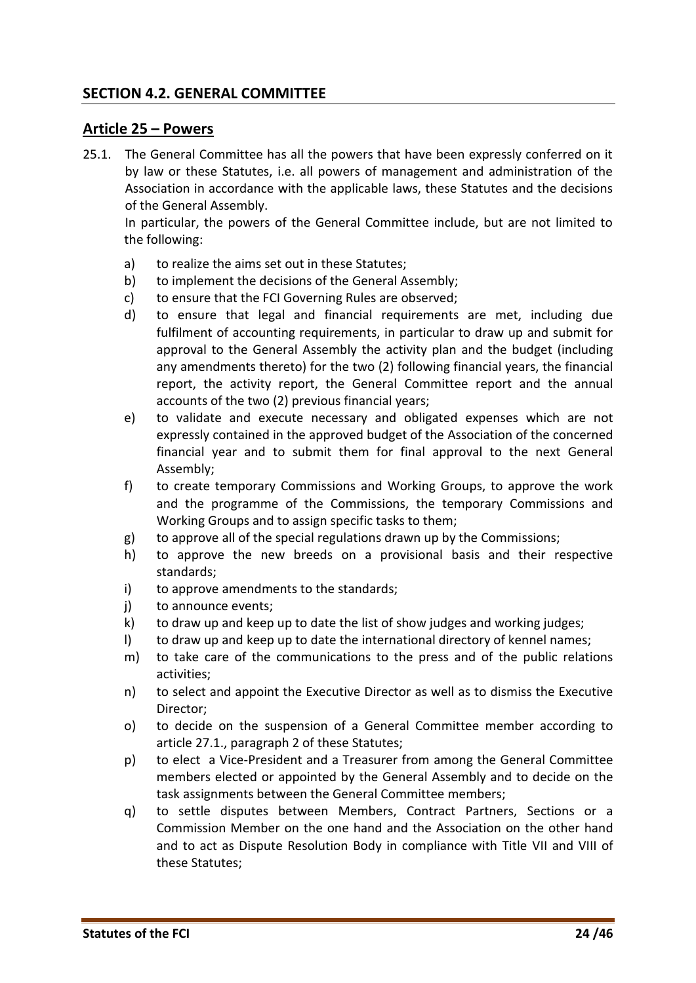#### <span id="page-23-0"></span>**SECTION 4.2. GENERAL COMMITTEE**

#### <span id="page-23-1"></span>**Article 25 – Powers**

25.1. The General Committee has all the powers that have been expressly conferred on it by law or these Statutes, i.e. all powers of management and administration of the Association in accordance with the applicable laws, these Statutes and the decisions of the General Assembly.

In particular, the powers of the General Committee include, but are not limited to the following:

- a) to realize the aims set out in these Statutes;
- b) to implement the decisions of the General Assembly;
- c) to ensure that the FCI Governing Rules are observed;
- d) to ensure that legal and financial requirements are met, including due fulfilment of accounting requirements, in particular to draw up and submit for approval to the General Assembly the activity plan and the budget (including any amendments thereto) for the two (2) following financial years, the financial report, the activity report, the General Committee report and the annual accounts of the two (2) previous financial years;
- e) to validate and execute necessary and obligated expenses which are not expressly contained in the approved budget of the Association of the concerned financial year and to submit them for final approval to the next General Assembly;
- f) to create temporary Commissions and Working Groups, to approve the work and the programme of the Commissions, the temporary Commissions and Working Groups and to assign specific tasks to them;
- g) to approve all of the special regulations drawn up by the Commissions;
- h) to approve the new breeds on a provisional basis and their respective standards;
- i) to approve amendments to the standards;
- j) to announce events;
- k) to draw up and keep up to date the list of show judges and working judges;
- l) to draw up and keep up to date the international directory of kennel names;
- m) to take care of the communications to the press and of the public relations activities;
- n) to select and appoint the Executive Director as well as to dismiss the Executive Director;
- o) to decide on the suspension of a General Committee member according to article 27.1., paragraph 2 of these Statutes;
- p) to elect a Vice-President and a Treasurer from among the General Committee members elected or appointed by the General Assembly and to decide on the task assignments between the General Committee members;
- q) to settle disputes between Members, Contract Partners, Sections or a Commission Member on the one hand and the Association on the other hand and to act as Dispute Resolution Body in compliance with Title VII and VIII of these Statutes;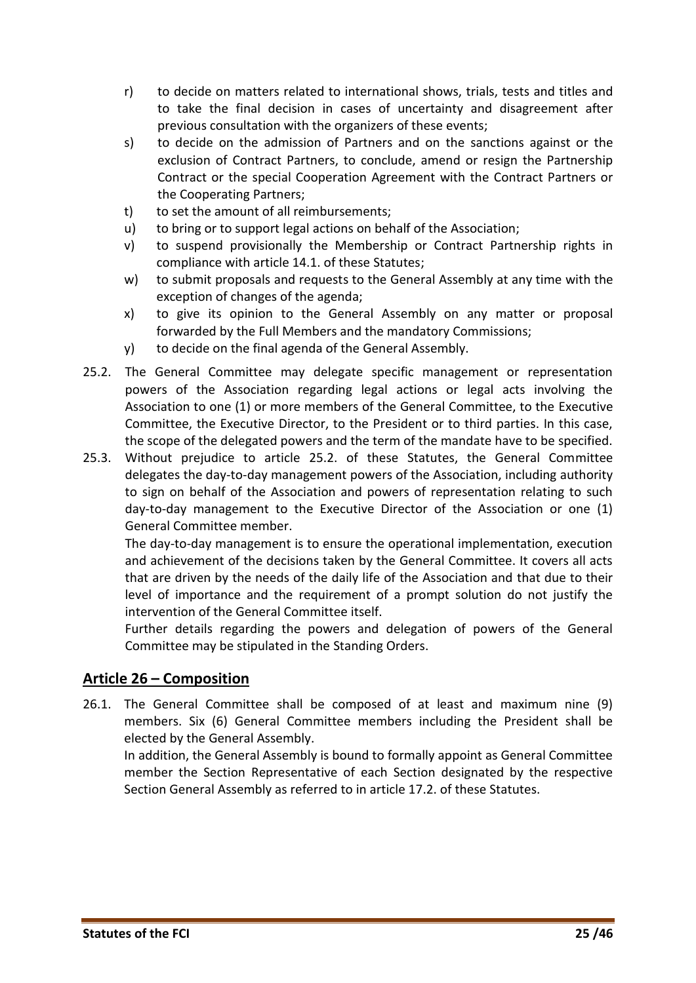- r) to decide on matters related to international shows, trials, tests and titles and to take the final decision in cases of uncertainty and disagreement after previous consultation with the organizers of these events;
- s) to decide on the admission of Partners and on the sanctions against or the exclusion of Contract Partners, to conclude, amend or resign the Partnership Contract or the special Cooperation Agreement with the Contract Partners or the Cooperating Partners;
- t) to set the amount of all reimbursements;
- u) to bring or to support legal actions on behalf of the Association;
- v) to suspend provisionally the Membership or Contract Partnership rights in compliance with article 14.1. of these Statutes;
- w) to submit proposals and requests to the General Assembly at any time with the exception of changes of the agenda;
- x) to give its opinion to the General Assembly on any matter or proposal forwarded by the Full Members and the mandatory Commissions;
- y) to decide on the final agenda of the General Assembly.
- 25.2. The General Committee may delegate specific management or representation powers of the Association regarding legal actions or legal acts involving the Association to one (1) or more members of the General Committee, to the Executive Committee, the Executive Director, to the President or to third parties. In this case, the scope of the delegated powers and the term of the mandate have to be specified.
- 25.3. Without prejudice to article 25.2. of these Statutes, the General Committee delegates the day-to-day management powers of the Association, including authority to sign on behalf of the Association and powers of representation relating to such day-to-day management to the Executive Director of the Association or one (1) General Committee member.

The day-to-day management is to ensure the operational implementation, execution and achievement of the decisions taken by the General Committee. It covers all acts that are driven by the needs of the daily life of the Association and that due to their level of importance and the requirement of a prompt solution do not justify the intervention of the General Committee itself.

Further details regarding the powers and delegation of powers of the General Committee may be stipulated in the Standing Orders.

#### <span id="page-24-0"></span>**Article 26 – Composition**

26.1. The General Committee shall be composed of at least and maximum nine (9) members. Six (6) General Committee members including the President shall be elected by the General Assembly.

In addition, the General Assembly is bound to formally appoint as General Committee member the Section Representative of each Section designated by the respective Section General Assembly as referred to in article 17.2. of these Statutes.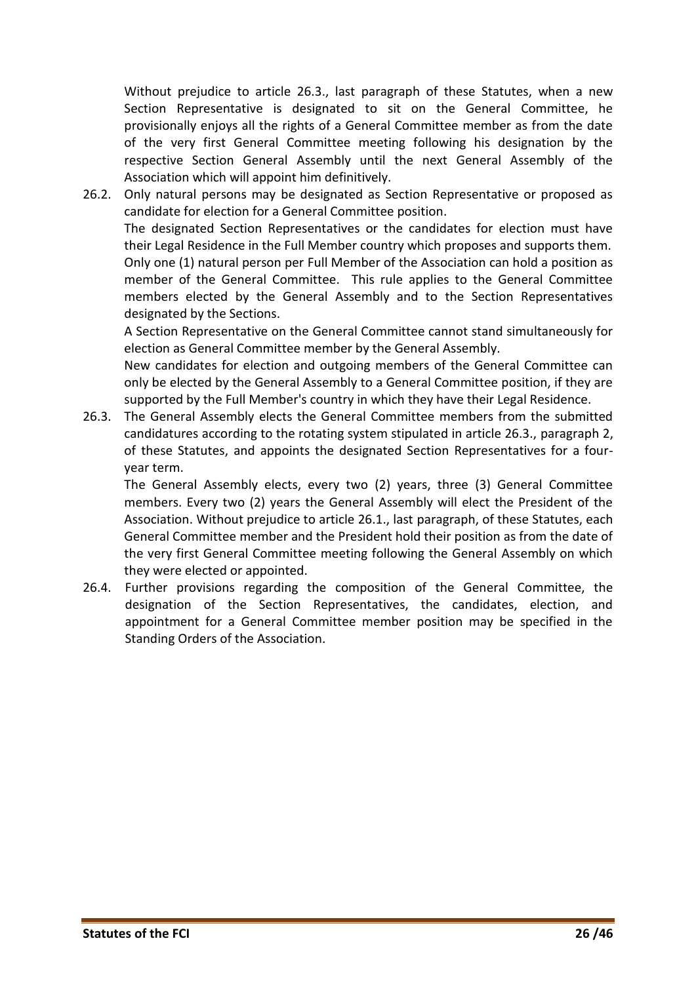Without prejudice to article 26.3., last paragraph of these Statutes, when a new Section Representative is designated to sit on the General Committee, he provisionally enjoys all the rights of a General Committee member as from the date of the very first General Committee meeting following his designation by the respective Section General Assembly until the next General Assembly of the Association which will appoint him definitively.

26.2. Only natural persons may be designated as Section Representative or proposed as candidate for election for a General Committee position. The designated Section Representatives or the candidates for election must have their Legal Residence in the Full Member country which proposes and supports them. Only one (1) natural person per Full Member of the Association can hold a position as member of the General Committee. This rule applies to the General Committee members elected by the General Assembly and to the Section Representatives designated by the Sections.

A Section Representative on the General Committee cannot stand simultaneously for election as General Committee member by the General Assembly.

New candidates for election and outgoing members of the General Committee can only be elected by the General Assembly to a General Committee position, if they are supported by the Full Member's country in which they have their Legal Residence.

26.3. The General Assembly elects the General Committee members from the submitted candidatures according to the rotating system stipulated in article 26.3., paragraph 2, of these Statutes, and appoints the designated Section Representatives for a fouryear term.

The General Assembly elects, every two (2) years, three (3) General Committee members. Every two (2) years the General Assembly will elect the President of the Association. Without prejudice to article 26.1., last paragraph, of these Statutes, each General Committee member and the President hold their position as from the date of the very first General Committee meeting following the General Assembly on which they were elected or appointed.

26.4. Further provisions regarding the composition of the General Committee, the designation of the Section Representatives, the candidates, election, and appointment for a General Committee member position may be specified in the Standing Orders of the Association.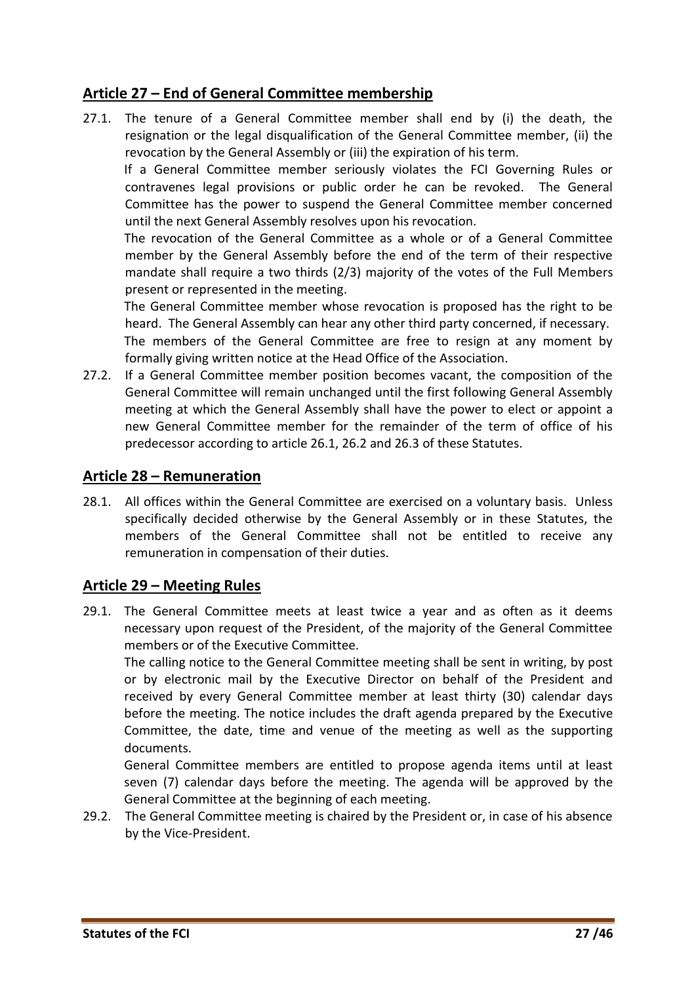# <span id="page-26-0"></span>**Article 27 – End of General Committee membership**

27.1. The tenure of a General Committee member shall end by (i) the death, the resignation or the legal disqualification of the General Committee member, (ii) the revocation by the General Assembly or (iii) the expiration of his term.

If a General Committee member seriously violates the FCI Governing Rules or contravenes legal provisions or public order he can be revoked. The General Committee has the power to suspend the General Committee member concerned until the next General Assembly resolves upon his revocation.

The revocation of the General Committee as a whole or of a General Committee member by the General Assembly before the end of the term of their respective mandate shall require a two thirds (2/3) majority of the votes of the Full Members present or represented in the meeting.

The General Committee member whose revocation is proposed has the right to be heard. The General Assembly can hear any other third party concerned, if necessary. The members of the General Committee are free to resign at any moment by formally giving written notice at the Head Office of the Association.

27.2. If a General Committee member position becomes vacant, the composition of the General Committee will remain unchanged until the first following General Assembly meeting at which the General Assembly shall have the power to elect or appoint a new General Committee member for the remainder of the term of office of his predecessor according to article 26.1, 26.2 and 26.3 of these Statutes.

#### <span id="page-26-1"></span>**Article 28 – Remuneration**

28.1. All offices within the General Committee are exercised on a voluntary basis. Unless specifically decided otherwise by the General Assembly or in these Statutes, the members of the General Committee shall not be entitled to receive any remuneration in compensation of their duties.

#### <span id="page-26-2"></span>**Article 29 – Meeting Rules**

29.1. The General Committee meets at least twice a year and as often as it deems necessary upon request of the President, of the majority of the General Committee members or of the Executive Committee.

The calling notice to the General Committee meeting shall be sent in writing, by post or by electronic mail by the Executive Director on behalf of the President and received by every General Committee member at least thirty (30) calendar days before the meeting. The notice includes the draft agenda prepared by the Executive Committee, the date, time and venue of the meeting as well as the supporting documents.

General Committee members are entitled to propose agenda items until at least seven (7) calendar days before the meeting. The agenda will be approved by the General Committee at the beginning of each meeting.

29.2. The General Committee meeting is chaired by the President or, in case of his absence by the Vice-President.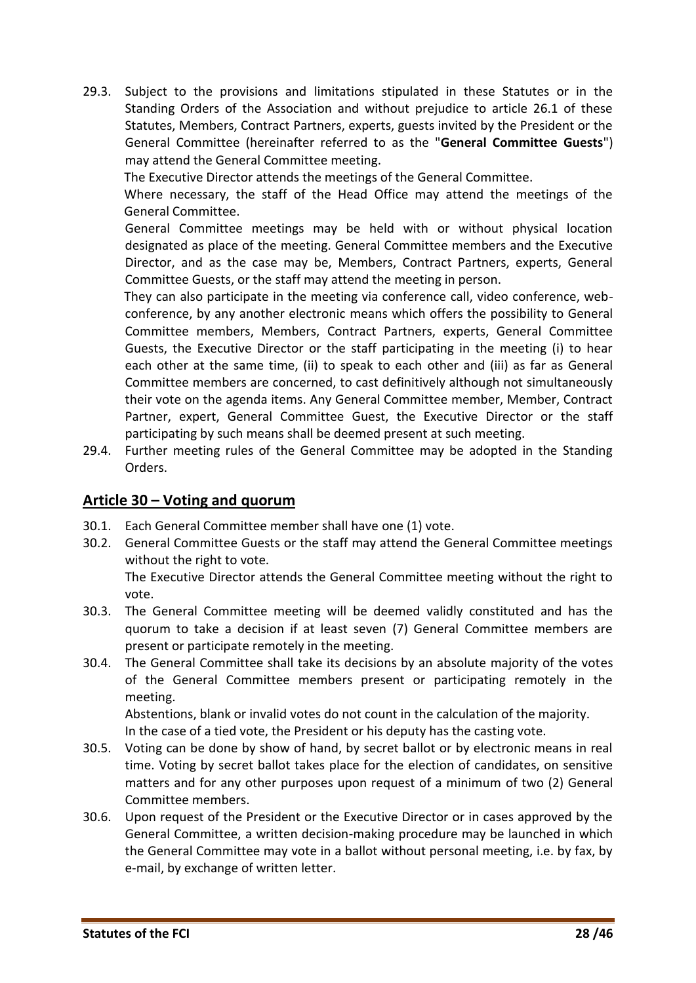29.3. Subject to the provisions and limitations stipulated in these Statutes or in the Standing Orders of the Association and without prejudice to article 26.1 of these Statutes, Members, Contract Partners, experts, guests invited by the President or the General Committee (hereinafter referred to as the "**General Committee Guests**") may attend the General Committee meeting.

The Executive Director attends the meetings of the General Committee.

Where necessary, the staff of the Head Office may attend the meetings of the General Committee.

General Committee meetings may be held with or without physical location designated as place of the meeting. General Committee members and the Executive Director, and as the case may be, Members, Contract Partners, experts, General Committee Guests, or the staff may attend the meeting in person.

They can also participate in the meeting via conference call, video conference, webconference, by any another electronic means which offers the possibility to General Committee members, Members, Contract Partners, experts, General Committee Guests, the Executive Director or the staff participating in the meeting (i) to hear each other at the same time, (ii) to speak to each other and (iii) as far as General Committee members are concerned, to cast definitively although not simultaneously their vote on the agenda items. Any General Committee member, Member, Contract Partner, expert, General Committee Guest, the Executive Director or the staff participating by such means shall be deemed present at such meeting.

29.4. Further meeting rules of the General Committee may be adopted in the Standing Orders.

#### <span id="page-27-0"></span>**Article 30 – Voting and quorum**

- 30.1. Each General Committee member shall have one (1) vote.
- 30.2. General Committee Guests or the staff may attend the General Committee meetings without the right to vote.

The Executive Director attends the General Committee meeting without the right to vote.

- 30.3. The General Committee meeting will be deemed validly constituted and has the quorum to take a decision if at least seven (7) General Committee members are present or participate remotely in the meeting.
- 30.4. The General Committee shall take its decisions by an absolute majority of the votes of the General Committee members present or participating remotely in the meeting.

Abstentions, blank or invalid votes do not count in the calculation of the majority.

In the case of a tied vote, the President or his deputy has the casting vote.

- 30.5. Voting can be done by show of hand, by secret ballot or by electronic means in real time. Voting by secret ballot takes place for the election of candidates, on sensitive matters and for any other purposes upon request of a minimum of two (2) General Committee members.
- 30.6. Upon request of the President or the Executive Director or in cases approved by the General Committee, a written decision-making procedure may be launched in which the General Committee may vote in a ballot without personal meeting, i.e. by fax, by e-mail, by exchange of written letter.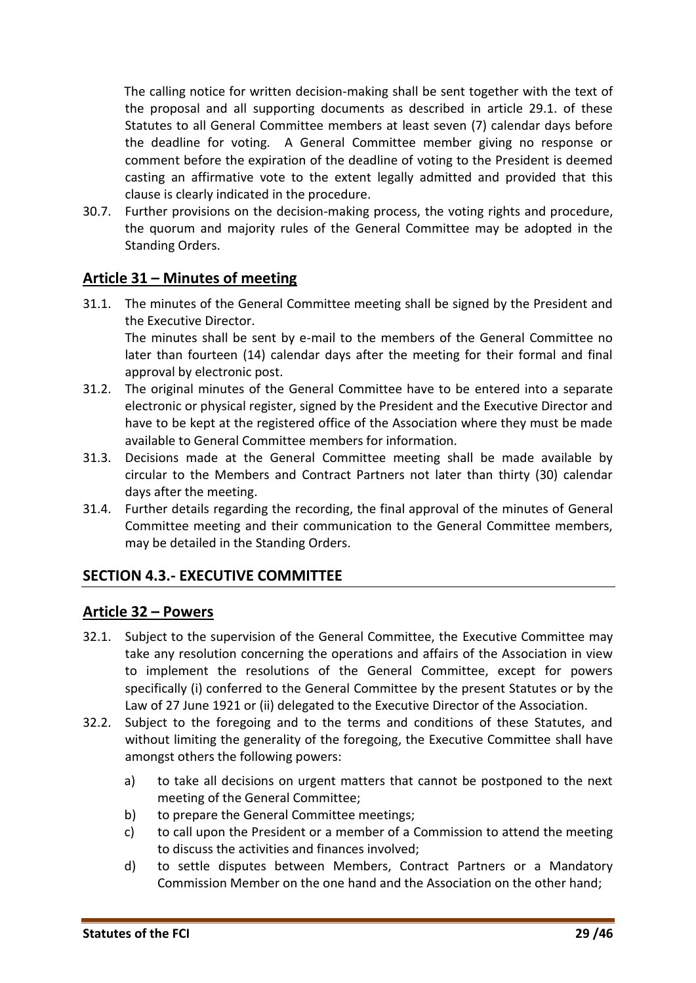The calling notice for written decision-making shall be sent together with the text of the proposal and all supporting documents as described in article 29.1. of these Statutes to all General Committee members at least seven (7) calendar days before the deadline for voting. A General Committee member giving no response or comment before the expiration of the deadline of voting to the President is deemed casting an affirmative vote to the extent legally admitted and provided that this clause is clearly indicated in the procedure.

30.7. Further provisions on the decision-making process, the voting rights and procedure, the quorum and majority rules of the General Committee may be adopted in the Standing Orders.

# <span id="page-28-0"></span>**Article 31 – Minutes of meeting**

- 31.1. The minutes of the General Committee meeting shall be signed by the President and the Executive Director. The minutes shall be sent by e-mail to the members of the General Committee no later than fourteen (14) calendar days after the meeting for their formal and final approval by electronic post.
- 31.2. The original minutes of the General Committee have to be entered into a separate electronic or physical register, signed by the President and the Executive Director and have to be kept at the registered office of the Association where they must be made available to General Committee members for information.
- 31.3. Decisions made at the General Committee meeting shall be made available by circular to the Members and Contract Partners not later than thirty (30) calendar days after the meeting.
- 31.4. Further details regarding the recording, the final approval of the minutes of General Committee meeting and their communication to the General Committee members, may be detailed in the Standing Orders.

#### <span id="page-28-1"></span>**SECTION 4.3.- EXECUTIVE COMMITTEE**

#### <span id="page-28-2"></span>**Article 32 – Powers**

- 32.1. Subject to the supervision of the General Committee, the Executive Committee may take any resolution concerning the operations and affairs of the Association in view to implement the resolutions of the General Committee, except for powers specifically (i) conferred to the General Committee by the present Statutes or by the Law of 27 June 1921 or (ii) delegated to the Executive Director of the Association.
- 32.2. Subject to the foregoing and to the terms and conditions of these Statutes, and without limiting the generality of the foregoing, the Executive Committee shall have amongst others the following powers:
	- a) to take all decisions on urgent matters that cannot be postponed to the next meeting of the General Committee;
	- b) to prepare the General Committee meetings;
	- c) to call upon the President or a member of a Commission to attend the meeting to discuss the activities and finances involved;
	- d) to settle disputes between Members, Contract Partners or a Mandatory Commission Member on the one hand and the Association on the other hand;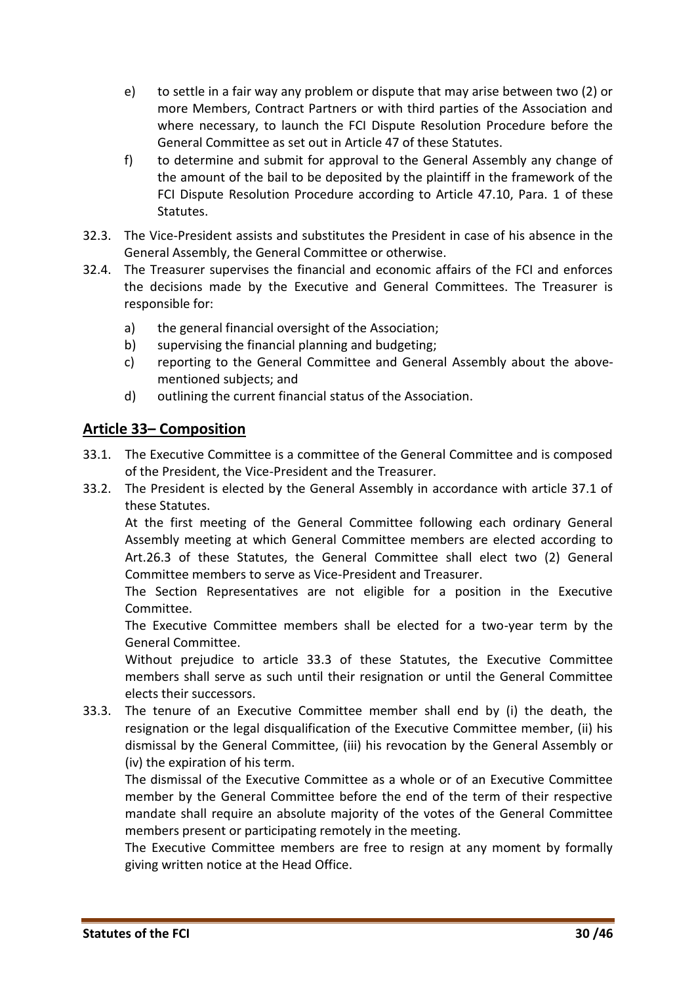- e) to settle in a fair way any problem or dispute that may arise between two (2) or more Members, Contract Partners or with third parties of the Association and where necessary, to launch the FCI Dispute Resolution Procedure before the General Committee as set out in Article 47 of these Statutes.
- f) to determine and submit for approval to the General Assembly any change of the amount of the bail to be deposited by the plaintiff in the framework of the FCI Dispute Resolution Procedure according to Article 47.10, Para. 1 of these Statutes.
- 32.3. The Vice-President assists and substitutes the President in case of his absence in the General Assembly, the General Committee or otherwise.
- 32.4. The Treasurer supervises the financial and economic affairs of the FCI and enforces the decisions made by the Executive and General Committees. The Treasurer is responsible for:
	- a) the general financial oversight of the Association;
	- b) supervising the financial planning and budgeting;
	- c) reporting to the General Committee and General Assembly about the abovementioned subjects; and
	- d) outlining the current financial status of the Association.

#### <span id="page-29-0"></span>**Article 33– Composition**

- 33.1. The Executive Committee is a committee of the General Committee and is composed of the President, the Vice-President and the Treasurer.
- 33.2. The President is elected by the General Assembly in accordance with article 37.1 of these Statutes.

At the first meeting of the General Committee following each ordinary General Assembly meeting at which General Committee members are elected according to Art.26.3 of these Statutes, the General Committee shall elect two (2) General Committee members to serve as Vice-President and Treasurer.

The Section Representatives are not eligible for a position in the Executive Committee.

The Executive Committee members shall be elected for a two-year term by the General Committee.

Without prejudice to article 33.3 of these Statutes, the Executive Committee members shall serve as such until their resignation or until the General Committee elects their successors.

33.3. The tenure of an Executive Committee member shall end by (i) the death, the resignation or the legal disqualification of the Executive Committee member, (ii) his dismissal by the General Committee, (iii) his revocation by the General Assembly or (iv) the expiration of his term.

The dismissal of the Executive Committee as a whole or of an Executive Committee member by the General Committee before the end of the term of their respective mandate shall require an absolute majority of the votes of the General Committee members present or participating remotely in the meeting.

The Executive Committee members are free to resign at any moment by formally giving written notice at the Head Office.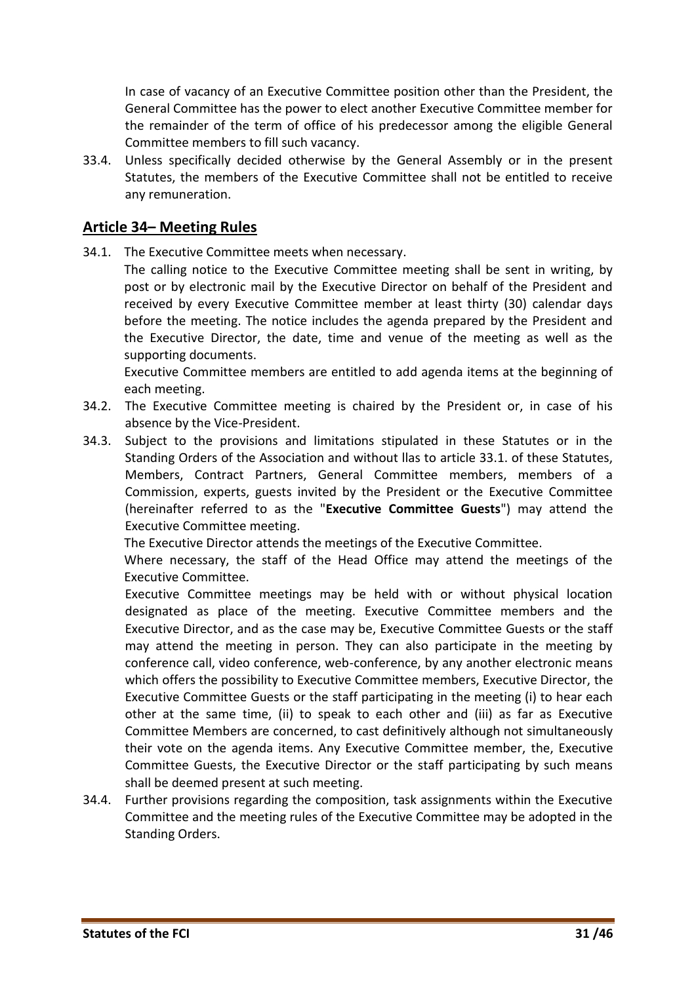In case of vacancy of an Executive Committee position other than the President, the General Committee has the power to elect another Executive Committee member for the remainder of the term of office of his predecessor among the eligible General Committee members to fill such vacancy.

33.4. Unless specifically decided otherwise by the General Assembly or in the present Statutes, the members of the Executive Committee shall not be entitled to receive any remuneration.

#### <span id="page-30-0"></span>**Article 34– Meeting Rules**

34.1. The Executive Committee meets when necessary.

The calling notice to the Executive Committee meeting shall be sent in writing, by post or by electronic mail by the Executive Director on behalf of the President and received by every Executive Committee member at least thirty (30) calendar days before the meeting. The notice includes the agenda prepared by the President and the Executive Director, the date, time and venue of the meeting as well as the supporting documents.

Executive Committee members are entitled to add agenda items at the beginning of each meeting.

- 34.2. The Executive Committee meeting is chaired by the President or, in case of his absence by the Vice-President.
- 34.3. Subject to the provisions and limitations stipulated in these Statutes or in the Standing Orders of the Association and without llas to article 33.1. of these Statutes, Members, Contract Partners, General Committee members, members of a Commission, experts, guests invited by the President or the Executive Committee (hereinafter referred to as the "**Executive Committee Guests**") may attend the Executive Committee meeting.

The Executive Director attends the meetings of the Executive Committee.

Where necessary, the staff of the Head Office may attend the meetings of the Executive Committee.

Executive Committee meetings may be held with or without physical location designated as place of the meeting. Executive Committee members and the Executive Director, and as the case may be, Executive Committee Guests or the staff may attend the meeting in person. They can also participate in the meeting by conference call, video conference, web-conference, by any another electronic means which offers the possibility to Executive Committee members, Executive Director, the Executive Committee Guests or the staff participating in the meeting (i) to hear each other at the same time, (ii) to speak to each other and (iii) as far as Executive Committee Members are concerned, to cast definitively although not simultaneously their vote on the agenda items. Any Executive Committee member, the, Executive Committee Guests, the Executive Director or the staff participating by such means shall be deemed present at such meeting.

34.4. Further provisions regarding the composition, task assignments within the Executive Committee and the meeting rules of the Executive Committee may be adopted in the Standing Orders.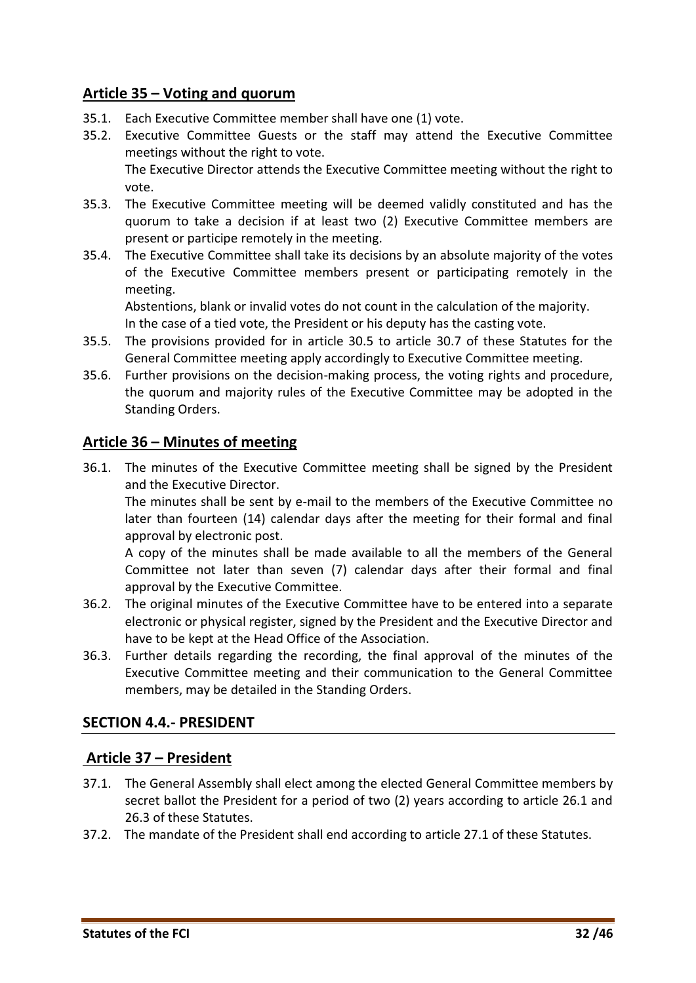# <span id="page-31-0"></span>**Article 35 – Voting and quorum**

- 35.1. Each Executive Committee member shall have one (1) vote.
- 35.2. Executive Committee Guests or the staff may attend the Executive Committee meetings without the right to vote.

The Executive Director attends the Executive Committee meeting without the right to vote.

- 35.3. The Executive Committee meeting will be deemed validly constituted and has the quorum to take a decision if at least two (2) Executive Committee members are present or participe remotely in the meeting.
- 35.4. The Executive Committee shall take its decisions by an absolute majority of the votes of the Executive Committee members present or participating remotely in the meeting.

Abstentions, blank or invalid votes do not count in the calculation of the majority. In the case of a tied vote, the President or his deputy has the casting vote.

- 35.5. The provisions provided for in article 30.5 to article 30.7 of these Statutes for the General Committee meeting apply accordingly to Executive Committee meeting.
- 35.6. Further provisions on the decision-making process, the voting rights and procedure, the quorum and majority rules of the Executive Committee may be adopted in the Standing Orders.

#### <span id="page-31-1"></span>**Article 36 – Minutes of meeting**

36.1. The minutes of the Executive Committee meeting shall be signed by the President and the Executive Director.

The minutes shall be sent by e-mail to the members of the Executive Committee no later than fourteen (14) calendar days after the meeting for their formal and final approval by electronic post.

A copy of the minutes shall be made available to all the members of the General Committee not later than seven (7) calendar days after their formal and final approval by the Executive Committee.

- 36.2. The original minutes of the Executive Committee have to be entered into a separate electronic or physical register, signed by the President and the Executive Director and have to be kept at the Head Office of the Association.
- 36.3. Further details regarding the recording, the final approval of the minutes of the Executive Committee meeting and their communication to the General Committee members, may be detailed in the Standing Orders.

#### <span id="page-31-2"></span>**SECTION 4.4.- PRESIDENT**

#### <span id="page-31-3"></span>**Article 37 – President**

- 37.1. The General Assembly shall elect among the elected General Committee members by secret ballot the President for a period of two (2) years according to article 26.1 and 26.3 of these Statutes.
- 37.2. The mandate of the President shall end according to article 27.1 of these Statutes.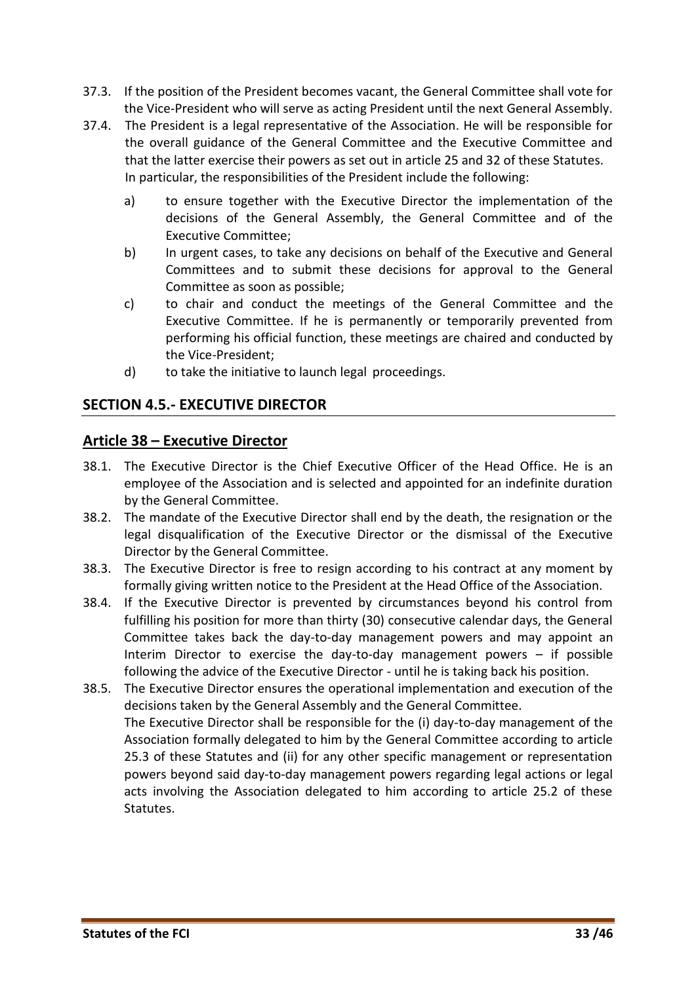- 37.3. If the position of the President becomes vacant, the General Committee shall vote for the Vice-President who will serve as acting President until the next General Assembly.
- 37.4. The President is a legal representative of the Association. He will be responsible for the overall guidance of the General Committee and the Executive Committee and that the latter exercise their powers as set out in article 25 and 32 of these Statutes. In particular, the responsibilities of the President include the following:
	- a) to ensure together with the Executive Director the implementation of the decisions of the General Assembly, the General Committee and of the Executive Committee;
	- b) In urgent cases, to take any decisions on behalf of the Executive and General Committees and to submit these decisions for approval to the General Committee as soon as possible;
	- c) to chair and conduct the meetings of the General Committee and the Executive Committee. If he is permanently or temporarily prevented from performing his official function, these meetings are chaired and conducted by the Vice-President;
	- d) to take the initiative to launch legal proceedings.

#### <span id="page-32-0"></span>**SECTION 4.5.- EXECUTIVE DIRECTOR**

#### <span id="page-32-1"></span>**Article 38 – Executive Director**

- 38.1. The Executive Director is the Chief Executive Officer of the Head Office. He is an employee of the Association and is selected and appointed for an indefinite duration by the General Committee.
- 38.2. The mandate of the Executive Director shall end by the death, the resignation or the legal disqualification of the Executive Director or the dismissal of the Executive Director by the General Committee.
- 38.3. The Executive Director is free to resign according to his contract at any moment by formally giving written notice to the President at the Head Office of the Association.
- 38.4. If the Executive Director is prevented by circumstances beyond his control from fulfilling his position for more than thirty (30) consecutive calendar days, the General Committee takes back the day-to-day management powers and may appoint an Interim Director to exercise the day-to-day management powers – if possible following the advice of the Executive Director - until he is taking back his position.
- 38.5. The Executive Director ensures the operational implementation and execution of the decisions taken by the General Assembly and the General Committee. The Executive Director shall be responsible for the (i) day-to-day management of the Association formally delegated to him by the General Committee according to article 25.3 of these Statutes and (ii) for any other specific management or representation powers beyond said day-to-day management powers regarding legal actions or legal acts involving the Association delegated to him according to article 25.2 of these Statutes.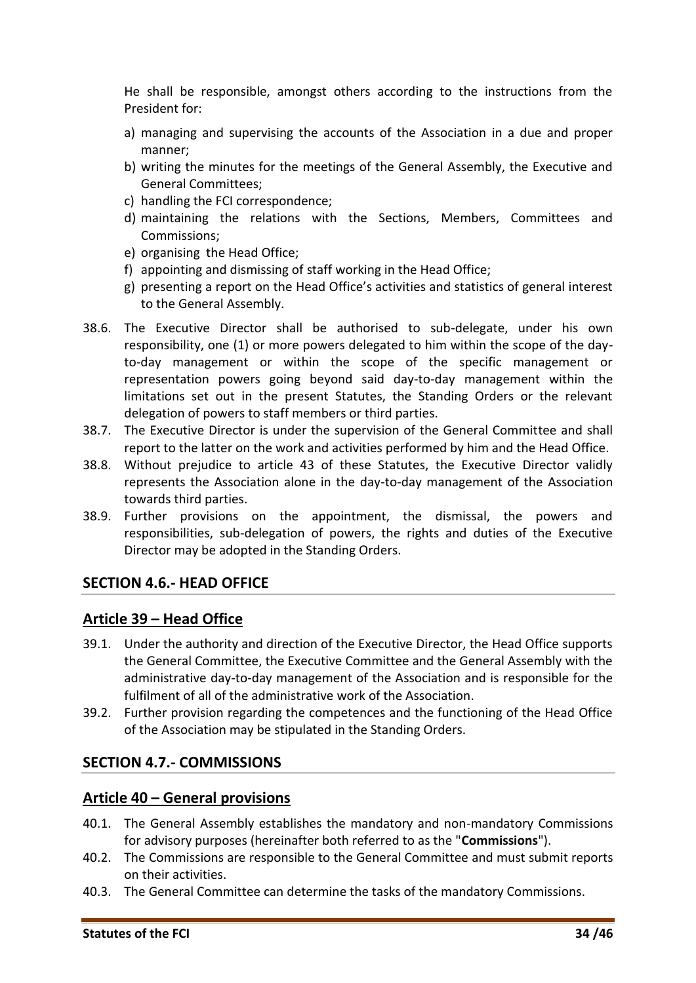He shall be responsible, amongst others according to the instructions from the President for:

- a) managing and supervising the accounts of the Association in a due and proper manner;
- b) writing the minutes for the meetings of the General Assembly, the Executive and General Committees;
- c) handling the FCI correspondence;
- d) maintaining the relations with the Sections, Members, Committees and Commissions;
- e) organising the Head Office;
- f) appointing and dismissing of staff working in the Head Office;
- g) presenting a report on the Head Office's activities and statistics of general interest to the General Assembly.
- 38.6. The Executive Director shall be authorised to sub-delegate, under his own responsibility, one (1) or more powers delegated to him within the scope of the dayto-day management or within the scope of the specific management or representation powers going beyond said day-to-day management within the limitations set out in the present Statutes, the Standing Orders or the relevant delegation of powers to staff members or third parties.
- 38.7. The Executive Director is under the supervision of the General Committee and shall report to the latter on the work and activities performed by him and the Head Office.
- 38.8. Without prejudice to article 43 of these Statutes, the Executive Director validly represents the Association alone in the day-to-day management of the Association towards third parties.
- 38.9. Further provisions on the appointment, the dismissal, the powers and responsibilities, sub-delegation of powers, the rights and duties of the Executive Director may be adopted in the Standing Orders.

#### <span id="page-33-0"></span>**SECTION 4.6.- HEAD OFFICE**

#### <span id="page-33-1"></span>**Article 39 – Head Office**

- 39.1. Under the authority and direction of the Executive Director, the Head Office supports the General Committee, the Executive Committee and the General Assembly with the administrative day-to-day management of the Association and is responsible for the fulfilment of all of the administrative work of the Association.
- 39.2. Further provision regarding the competences and the functioning of the Head Office of the Association may be stipulated in the Standing Orders.

#### <span id="page-33-2"></span>**SECTION 4.7.- COMMISSIONS**

#### <span id="page-33-3"></span>**Article 40 – General provisions**

- 40.1. The General Assembly establishes the mandatory and non-mandatory Commissions for advisory purposes (hereinafter both referred to as the "**Commissions**").
- 40.2. The Commissions are responsible to the General Committee and must submit reports on their activities.
- 40.3. The General Committee can determine the tasks of the mandatory Commissions.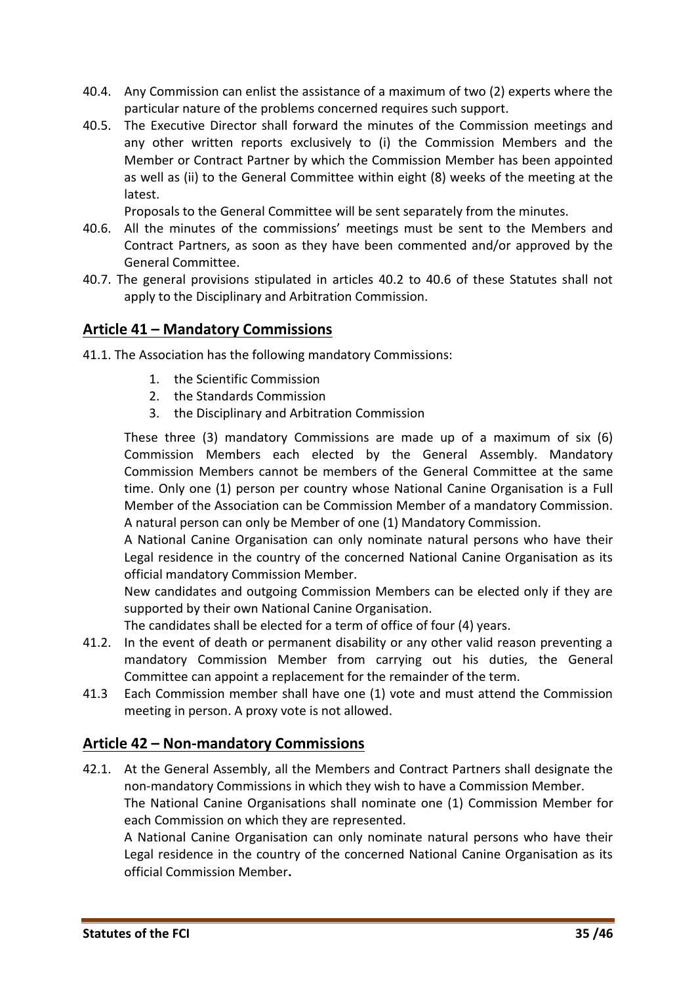- 40.4. Any Commission can enlist the assistance of a maximum of two (2) experts where the particular nature of the problems concerned requires such support.
- 40.5. The Executive Director shall forward the minutes of the Commission meetings and any other written reports exclusively to (i) the Commission Members and the Member or Contract Partner by which the Commission Member has been appointed as well as (ii) to the General Committee within eight (8) weeks of the meeting at the latest.

Proposals to the General Committee will be sent separately from the minutes.

- 40.6. All the minutes of the commissions' meetings must be sent to the Members and Contract Partners, as soon as they have been commented and/or approved by the General Committee.
- 40.7. The general provisions stipulated in articles 40.2 to 40.6 of these Statutes shall not apply to the Disciplinary and Arbitration Commission.

#### <span id="page-34-0"></span>**Article 41 – Mandatory Commissions**

- 41.1. The Association has the following mandatory Commissions:
	- 1. the Scientific Commission
	- 2. the Standards Commission
	- 3. the Disciplinary and Arbitration Commission

These three (3) mandatory Commissions are made up of a maximum of six (6) Commission Members each elected by the General Assembly. Mandatory Commission Members cannot be members of the General Committee at the same time. Only one (1) person per country whose National Canine Organisation is a Full Member of the Association can be Commission Member of a mandatory Commission. A natural person can only be Member of one (1) Mandatory Commission.

A National Canine Organisation can only nominate natural persons who have their Legal residence in the country of the concerned National Canine Organisation as its official mandatory Commission Member.

New candidates and outgoing Commission Members can be elected only if they are supported by their own National Canine Organisation.

The candidates shall be elected for a term of office of four (4) years.

- 41.2. In the event of death or permanent disability or any other valid reason preventing a mandatory Commission Member from carrying out his duties, the General Committee can appoint a replacement for the remainder of the term.
- 41.3 Each Commission member shall have one (1) vote and must attend the Commission meeting in person. A proxy vote is not allowed.

#### <span id="page-34-1"></span>**Article 42 – Non-mandatory Commissions**

42.1. At the General Assembly, all the Members and Contract Partners shall designate the non-mandatory Commissions in which they wish to have a Commission Member. The National Canine Organisations shall nominate one (1) Commission Member for each Commission on which they are represented.

A National Canine Organisation can only nominate natural persons who have their Legal residence in the country of the concerned National Canine Organisation as its official Commission Member**.**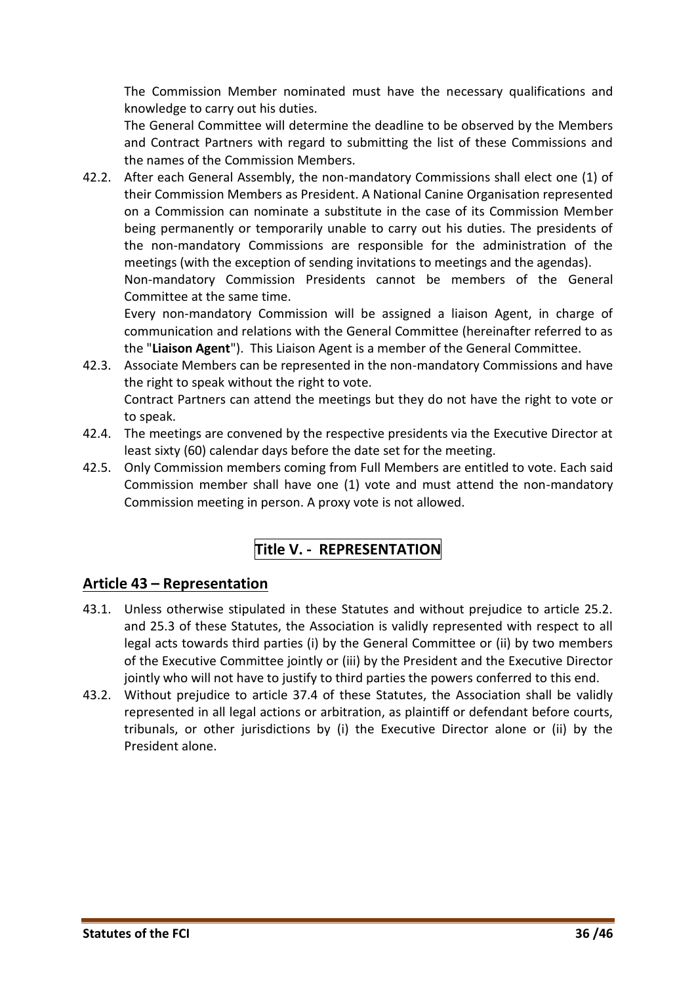The Commission Member nominated must have the necessary qualifications and knowledge to carry out his duties.

The General Committee will determine the deadline to be observed by the Members and Contract Partners with regard to submitting the list of these Commissions and the names of the Commission Members.

42.2. After each General Assembly, the non-mandatory Commissions shall elect one (1) of their Commission Members as President. A National Canine Organisation represented on a Commission can nominate a substitute in the case of its Commission Member being permanently or temporarily unable to carry out his duties. The presidents of the non-mandatory Commissions are responsible for the administration of the meetings (with the exception of sending invitations to meetings and the agendas). Non-mandatory Commission Presidents cannot be members of the General Committee at the same time.

Every non-mandatory Commission will be assigned a liaison Agent, in charge of communication and relations with the General Committee (hereinafter referred to as the "**Liaison Agent**"). This Liaison Agent is a member of the General Committee.

- 42.3. Associate Members can be represented in the non-mandatory Commissions and have the right to speak without the right to vote. Contract Partners can attend the meetings but they do not have the right to vote or to speak.
- 42.4. The meetings are convened by the respective presidents via the Executive Director at least sixty (60) calendar days before the date set for the meeting.
- <span id="page-35-0"></span>42.5. Only Commission members coming from Full Members are entitled to vote. Each said Commission member shall have one (1) vote and must attend the non-mandatory Commission meeting in person. A proxy vote is not allowed.

# **Title V. - REPRESENTATION**

#### <span id="page-35-1"></span>**Article 43 – Representation**

- 43.1. Unless otherwise stipulated in these Statutes and without prejudice to article 25.2. and 25.3 of these Statutes, the Association is validly represented with respect to all legal acts towards third parties (i) by the General Committee or (ii) by two members of the Executive Committee jointly or (iii) by the President and the Executive Director jointly who will not have to justify to third parties the powers conferred to this end.
- 43.2. Without prejudice to article 37.4 of these Statutes, the Association shall be validly represented in all legal actions or arbitration, as plaintiff or defendant before courts, tribunals, or other jurisdictions by (i) the Executive Director alone or (ii) by the President alone.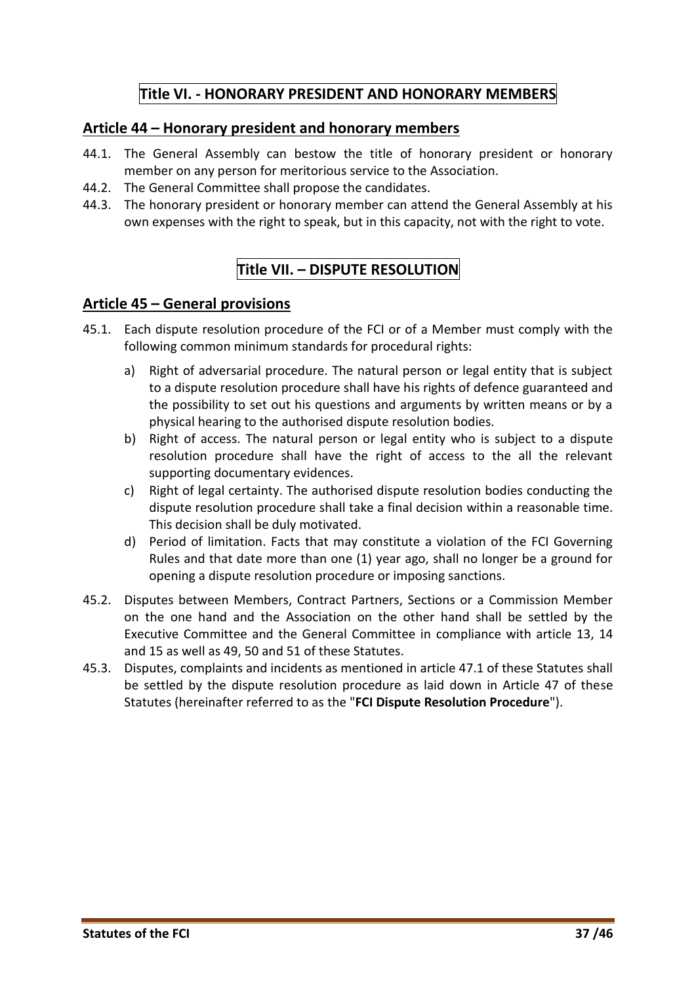# **Title VI. - HONORARY PRESIDENT AND HONORARY MEMBERS**

#### <span id="page-36-1"></span><span id="page-36-0"></span>**Article 44 – Honorary president and honorary members**

- 44.1. The General Assembly can bestow the title of honorary president or honorary member on any person for meritorious service to the Association.
- 44.2. The General Committee shall propose the candidates.
- <span id="page-36-2"></span>44.3. The honorary president or honorary member can attend the General Assembly at his own expenses with the right to speak, but in this capacity, not with the right to vote.

# **Title VII. – DISPUTE RESOLUTION**

#### <span id="page-36-3"></span>**Article 45 – General provisions**

- 45.1. Each dispute resolution procedure of the FCI or of a Member must comply with the following common minimum standards for procedural rights:
	- a) Right of adversarial procedure. The natural person or legal entity that is subject to a dispute resolution procedure shall have his rights of defence guaranteed and the possibility to set out his questions and arguments by written means or by a physical hearing to the authorised dispute resolution bodies.
	- b) Right of access. The natural person or legal entity who is subject to a dispute resolution procedure shall have the right of access to the all the relevant supporting documentary evidences.
	- c) Right of legal certainty. The authorised dispute resolution bodies conducting the dispute resolution procedure shall take a final decision within a reasonable time. This decision shall be duly motivated.
	- d) Period of limitation. Facts that may constitute a violation of the FCI Governing Rules and that date more than one (1) year ago, shall no longer be a ground for opening a dispute resolution procedure or imposing sanctions.
- 45.2. Disputes between Members, Contract Partners, Sections or a Commission Member on the one hand and the Association on the other hand shall be settled by the Executive Committee and the General Committee in compliance with article 13, 14 and 15 as well as 49, 50 and 51 of these Statutes.
- 45.3. Disputes, complaints and incidents as mentioned in article 47.1 of these Statutes shall be settled by the dispute resolution procedure as laid down in Article 47 of these Statutes (hereinafter referred to as the "**FCI Dispute Resolution Procedure**").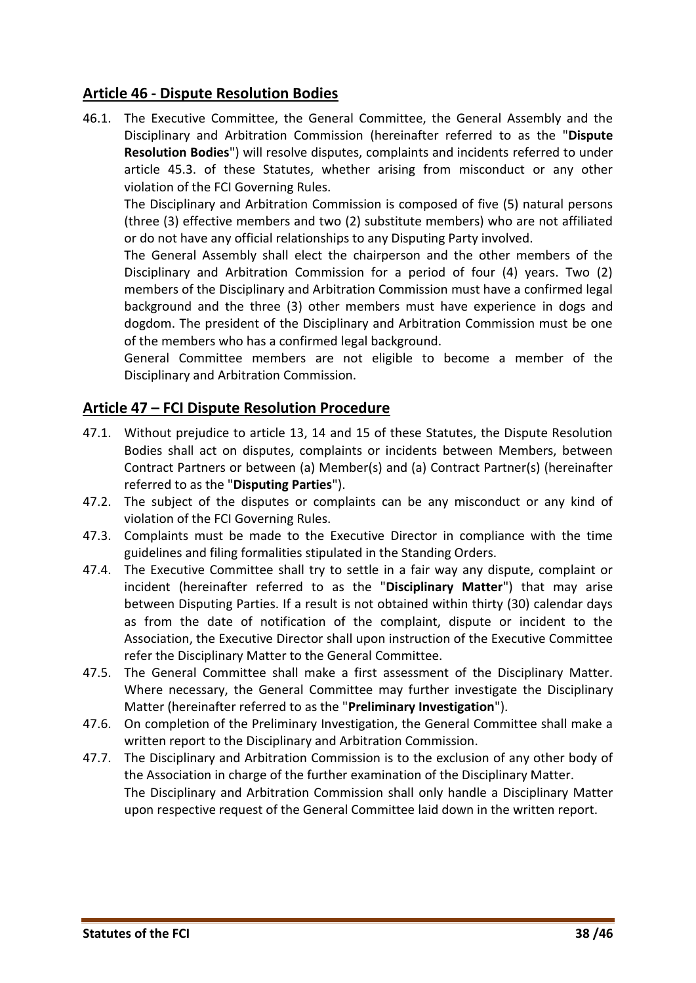#### <span id="page-37-0"></span>**Article 46 - Dispute Resolution Bodies**

46.1. The Executive Committee, the General Committee, the General Assembly and the Disciplinary and Arbitration Commission (hereinafter referred to as the "**Dispute Resolution Bodies**") will resolve disputes, complaints and incidents referred to under article 45.3. of these Statutes, whether arising from misconduct or any other violation of the FCI Governing Rules.

The Disciplinary and Arbitration Commission is composed of five (5) natural persons (three (3) effective members and two (2) substitute members) who are not affiliated or do not have any official relationships to any Disputing Party involved.

The General Assembly shall elect the chairperson and the other members of the Disciplinary and Arbitration Commission for a period of four (4) years. Two (2) members of the Disciplinary and Arbitration Commission must have a confirmed legal background and the three (3) other members must have experience in dogs and dogdom. The president of the Disciplinary and Arbitration Commission must be one of the members who has a confirmed legal background.

General Committee members are not eligible to become a member of the Disciplinary and Arbitration Commission.

#### <span id="page-37-1"></span>**Article 47 – FCI Dispute Resolution Procedure**

- 47.1. Without prejudice to article 13, 14 and 15 of these Statutes, the Dispute Resolution Bodies shall act on disputes, complaints or incidents between Members, between Contract Partners or between (a) Member(s) and (a) Contract Partner(s) (hereinafter referred to as the "**Disputing Parties**").
- 47.2. The subject of the disputes or complaints can be any misconduct or any kind of violation of the FCI Governing Rules.
- 47.3. Complaints must be made to the Executive Director in compliance with the time guidelines and filing formalities stipulated in the Standing Orders.
- 47.4. The Executive Committee shall try to settle in a fair way any dispute, complaint or incident (hereinafter referred to as the "**Disciplinary Matter**") that may arise between Disputing Parties. If a result is not obtained within thirty (30) calendar days as from the date of notification of the complaint, dispute or incident to the Association, the Executive Director shall upon instruction of the Executive Committee refer the Disciplinary Matter to the General Committee.
- 47.5. The General Committee shall make a first assessment of the Disciplinary Matter. Where necessary, the General Committee may further investigate the Disciplinary Matter (hereinafter referred to as the "**Preliminary Investigation**").
- 47.6. On completion of the Preliminary Investigation, the General Committee shall make a written report to the Disciplinary and Arbitration Commission.
- 47.7. The Disciplinary and Arbitration Commission is to the exclusion of any other body of the Association in charge of the further examination of the Disciplinary Matter. The Disciplinary and Arbitration Commission shall only handle a Disciplinary Matter upon respective request of the General Committee laid down in the written report.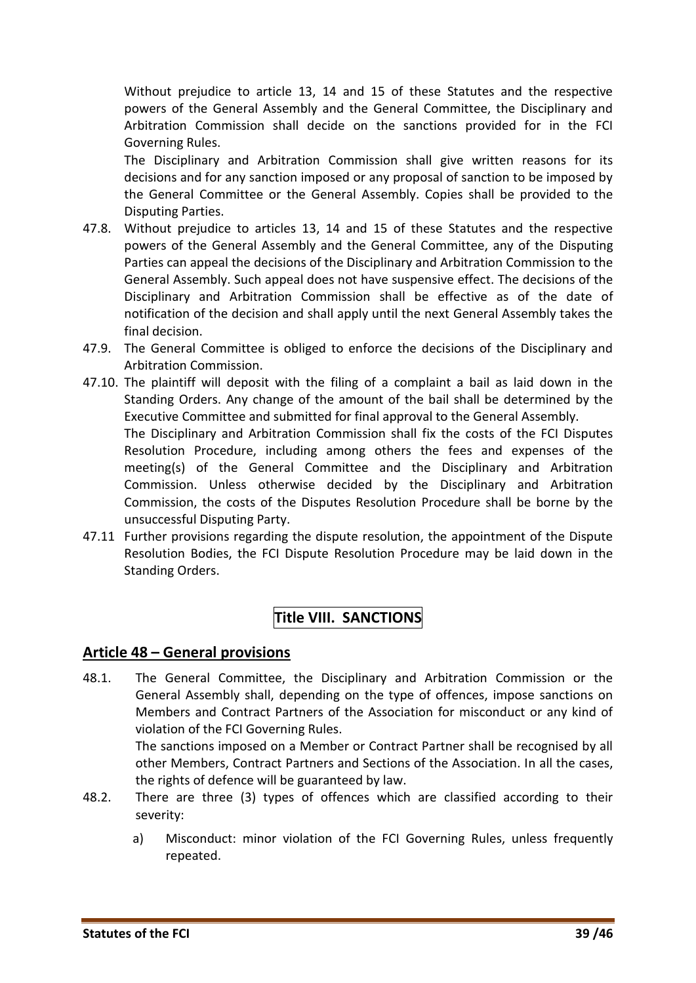Without prejudice to article 13, 14 and 15 of these Statutes and the respective powers of the General Assembly and the General Committee, the Disciplinary and Arbitration Commission shall decide on the sanctions provided for in the FCI Governing Rules.

The Disciplinary and Arbitration Commission shall give written reasons for its decisions and for any sanction imposed or any proposal of sanction to be imposed by the General Committee or the General Assembly. Copies shall be provided to the Disputing Parties.

- 47.8. Without prejudice to articles 13, 14 and 15 of these Statutes and the respective powers of the General Assembly and the General Committee, any of the Disputing Parties can appeal the decisions of the Disciplinary and Arbitration Commission to the General Assembly. Such appeal does not have suspensive effect. The decisions of the Disciplinary and Arbitration Commission shall be effective as of the date of notification of the decision and shall apply until the next General Assembly takes the final decision.
- 47.9. The General Committee is obliged to enforce the decisions of the Disciplinary and Arbitration Commission.
- 47.10. The plaintiff will deposit with the filing of a complaint a bail as laid down in the Standing Orders. Any change of the amount of the bail shall be determined by the Executive Committee and submitted for final approval to the General Assembly. The Disciplinary and Arbitration Commission shall fix the costs of the FCI Disputes Resolution Procedure, including among others the fees and expenses of the meeting(s) of the General Committee and the Disciplinary and Arbitration Commission. Unless otherwise decided by the Disciplinary and Arbitration Commission, the costs of the Disputes Resolution Procedure shall be borne by the unsuccessful Disputing Party.
- <span id="page-38-0"></span>47.11 Further provisions regarding the dispute resolution, the appointment of the Dispute Resolution Bodies, the FCI Dispute Resolution Procedure may be laid down in the Standing Orders.

# **Title VIII. SANCTIONS**

#### <span id="page-38-1"></span>**Article 48 – General provisions**

48.1. The General Committee, the Disciplinary and Arbitration Commission or the General Assembly shall, depending on the type of offences, impose sanctions on Members and Contract Partners of the Association for misconduct or any kind of violation of the FCI Governing Rules.

The sanctions imposed on a Member or Contract Partner shall be recognised by all other Members, Contract Partners and Sections of the Association. In all the cases, the rights of defence will be guaranteed by law.

- 48.2. There are three (3) types of offences which are classified according to their severity:
	- a) Misconduct: minor violation of the FCI Governing Rules, unless frequently repeated.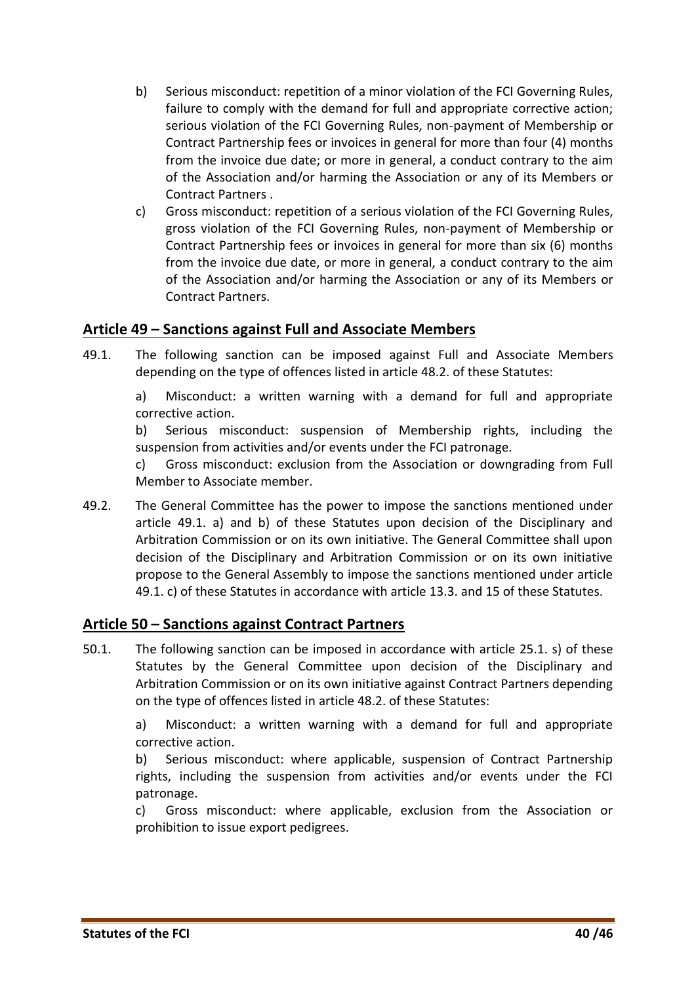- <span id="page-39-2"></span>b) Serious misconduct: repetition of a minor violation of the FCI Governing Rules, failure to comply with the demand for full and appropriate corrective action; serious violation of the FCI Governing Rules, non-payment of Membership or Contract Partnership fees or invoices in general for more than four (4) months from the invoice due date; or more in general, a conduct contrary to the aim of the Association and/or harming the Association or any of its Members or Contract Partners .
- c) Gross misconduct: repetition of a serious violation of the FCI Governing Rules, gross violation of the FCI Governing Rules, non-payment of Membership or Contract Partnership fees or invoices in general for more than six (6) months from the invoice due date, or more in general, a conduct contrary to the aim of the Association and/or harming the Association or any of its Members or Contract Partners.

#### <span id="page-39-0"></span>**Article 49 – Sanctions against Full and Associate Members**

49.1. The following sanction can be imposed against Full and Associate Members depending on the type of offences listed in article 48.2. of these Statutes:

a) Misconduct: a written warning with a demand for full and appropriate corrective action.

b) Serious misconduct: suspension of Membership rights, including the suspension from activities and/or events under the FCI patronage.

c) Gross misconduct: exclusion from the Association or downgrading from Full Member to Associate member.

49.2. The General Committee has the power to impose the sanctions mentioned under article 49.1. a) and b) of these Statutes upon decision of the Disciplinary and Arbitration Commission or on its own initiative. The General Committee shall upon decision of the Disciplinary and Arbitration Commission or on its own initiative propose to the General Assembly to impose the sanctions mentioned under article 49.1. c) of these Statutes in accordance with article 13.3. and 15 of these Statutes.

#### <span id="page-39-1"></span>**Article 50 – Sanctions against Contract Partners**

50.1. The following sanction can be imposed in accordance with article 25.1. s) of these Statutes by the General Committee upon decision of the Disciplinary and Arbitration Commission or on its own initiative against Contract Partners depending on the type of offences listed in article 48.2. of these Statutes:

a) Misconduct: a written warning with a demand for full and appropriate corrective action.

b) Serious misconduct: where applicable, suspension of Contract Partnership rights, including the suspension from activities and/or events under the FCI patronage.

c) Gross misconduct: where applicable, exclusion from the Association or prohibition to issue export pedigrees.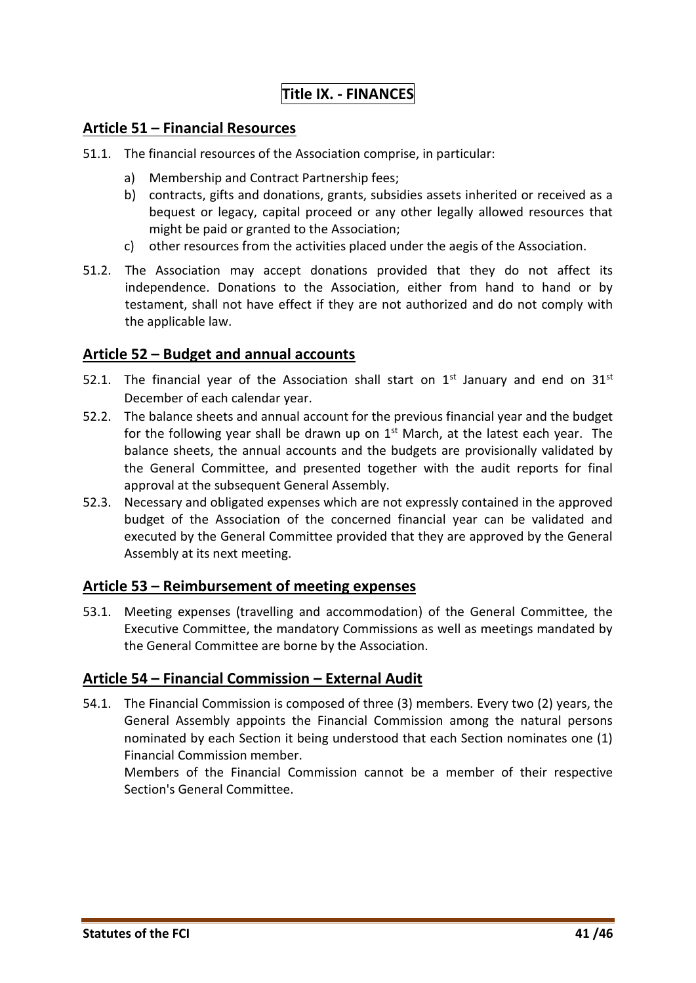# **Title IX. - FINANCES**

#### <span id="page-40-0"></span>**Article 51 – Financial Resources**

- 51.1. The financial resources of the Association comprise, in particular:
	- a) Membership and Contract Partnership fees;
	- b) contracts, gifts and donations, grants, subsidies assets inherited or received as a bequest or legacy, capital proceed or any other legally allowed resources that might be paid or granted to the Association;
	- c) other resources from the activities placed under the aegis of the Association.
- 51.2. The Association may accept donations provided that they do not affect its independence. Donations to the Association, either from hand to hand or by testament, shall not have effect if they are not authorized and do not comply with the applicable law.

#### <span id="page-40-1"></span>**Article 52 – Budget and annual accounts**

- 52.1. The financial year of the Association shall start on  $1<sup>st</sup>$  January and end on  $31<sup>st</sup>$ December of each calendar year.
- 52.2. The balance sheets and annual account for the previous financial year and the budget for the following year shall be drawn up on  $1<sup>st</sup>$  March, at the latest each year. The balance sheets, the annual accounts and the budgets are provisionally validated by the General Committee, and presented together with the audit reports for final approval at the subsequent General Assembly.
- 52.3. Necessary and obligated expenses which are not expressly contained in the approved budget of the Association of the concerned financial year can be validated and executed by the General Committee provided that they are approved by the General Assembly at its next meeting.

#### <span id="page-40-2"></span>**Article 53 – Reimbursement of meeting expenses**

53.1. Meeting expenses (travelling and accommodation) of the General Committee, the Executive Committee, the mandatory Commissions as well as meetings mandated by the General Committee are borne by the Association.

#### <span id="page-40-3"></span>**Article 54 – Financial Commission – External Audit**

54.1. The Financial Commission is composed of three (3) members. Every two (2) years, the General Assembly appoints the Financial Commission among the natural persons nominated by each Section it being understood that each Section nominates one (1) Financial Commission member.

Members of the Financial Commission cannot be a member of their respective Section's General Committee.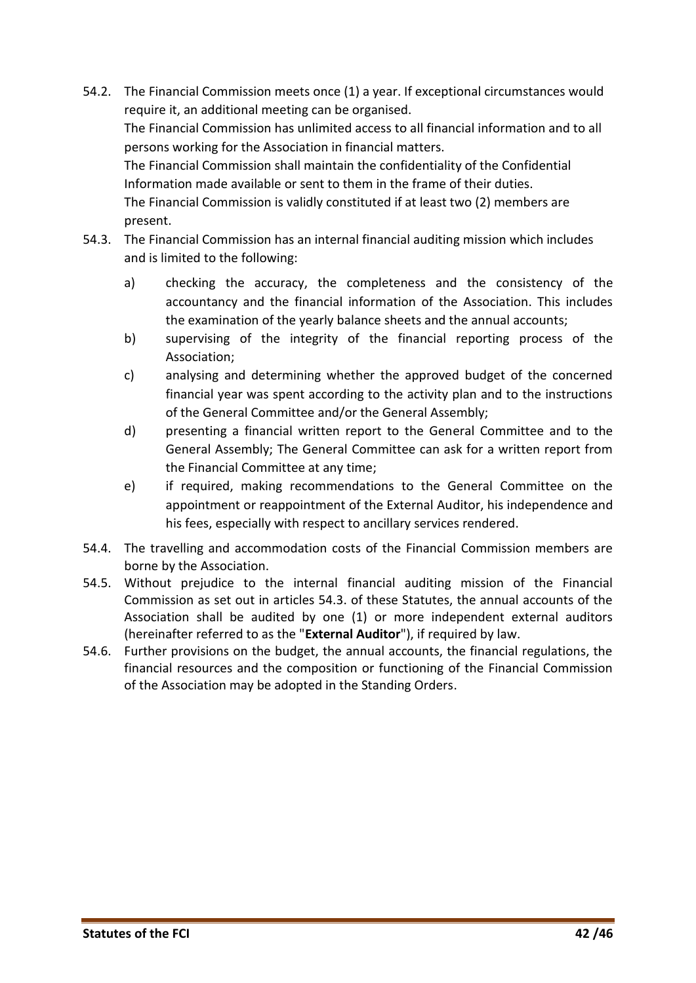- 54.2. The Financial Commission meets once (1) a year. If exceptional circumstances would require it, an additional meeting can be organised. The Financial Commission has unlimited access to all financial information and to all persons working for the Association in financial matters. The Financial Commission shall maintain the confidentiality of the Confidential Information made available or sent to them in the frame of their duties. The Financial Commission is validly constituted if at least two (2) members are present.
- 54.3. The Financial Commission has an internal financial auditing mission which includes and is limited to the following:
	- a) checking the accuracy, the completeness and the consistency of the accountancy and the financial information of the Association. This includes the examination of the yearly balance sheets and the annual accounts;
	- b) supervising of the integrity of the financial reporting process of the Association;
	- c) analysing and determining whether the approved budget of the concerned financial year was spent according to the activity plan and to the instructions of the General Committee and/or the General Assembly;
	- d) presenting a financial written report to the General Committee and to the General Assembly; The General Committee can ask for a written report from the Financial Committee at any time;
	- e) if required, making recommendations to the General Committee on the appointment or reappointment of the External Auditor, his independence and his fees, especially with respect to ancillary services rendered.
- 54.4. The travelling and accommodation costs of the Financial Commission members are borne by the Association.
- 54.5. Without prejudice to the internal financial auditing mission of the Financial Commission as set out in articles 54.3. of these Statutes, the annual accounts of the Association shall be audited by one (1) or more independent external auditors (hereinafter referred to as the "**External Auditor**"), if required by law.
- 54.6. Further provisions on the budget, the annual accounts, the financial regulations, the financial resources and the composition or functioning of the Financial Commission of the Association may be adopted in the Standing Orders.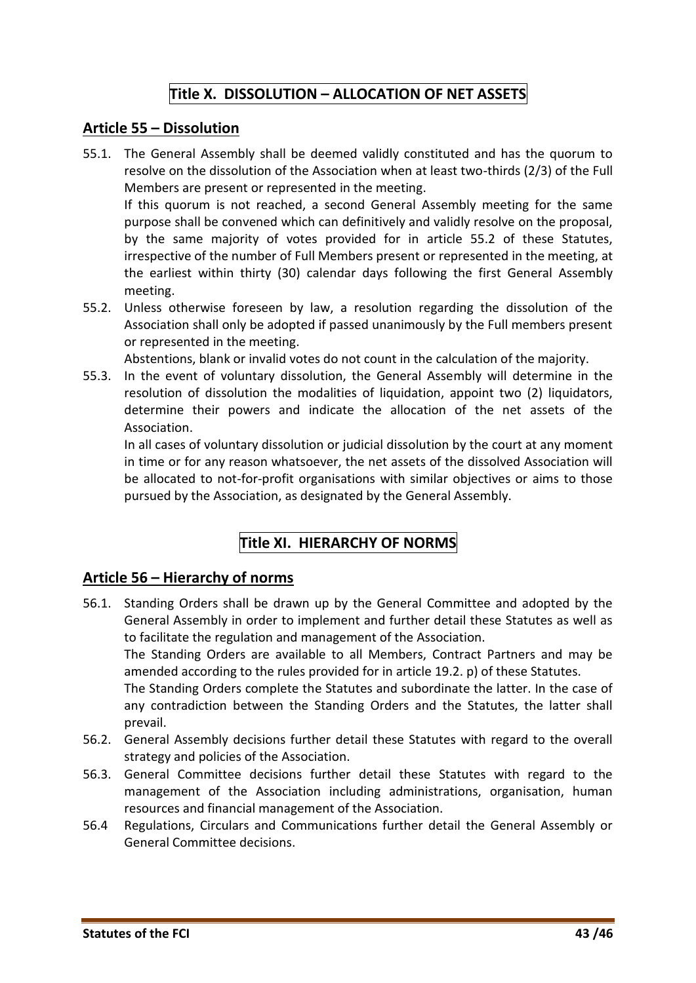# **Title X. DISSOLUTION – ALLOCATION OF NET ASSETS**

#### <span id="page-42-1"></span><span id="page-42-0"></span>**Article 55 – Dissolution**

- 55.1. The General Assembly shall be deemed validly constituted and has the quorum to resolve on the dissolution of the Association when at least two-thirds (2/3) of the Full Members are present or represented in the meeting. If this quorum is not reached, a second General Assembly meeting for the same purpose shall be convened which can definitively and validly resolve on the proposal, by the same majority of votes provided for in article 55.2 of these Statutes, irrespective of the number of Full Members present or represented in the meeting, at
- meeting. 55.2. Unless otherwise foreseen by law, a resolution regarding the dissolution of the Association shall only be adopted if passed unanimously by the Full members present or represented in the meeting.

Abstentions, blank or invalid votes do not count in the calculation of the majority.

the earliest within thirty (30) calendar days following the first General Assembly

55.3. In the event of voluntary dissolution, the General Assembly will determine in the resolution of dissolution the modalities of liquidation, appoint two (2) liquidators, determine their powers and indicate the allocation of the net assets of the Association.

In all cases of voluntary dissolution or judicial dissolution by the court at any moment in time or for any reason whatsoever, the net assets of the dissolved Association will be allocated to not-for-profit organisations with similar objectives or aims to those pursued by the Association, as designated by the General Assembly.

# **Title XI. HIERARCHY OF NORMS**

#### <span id="page-42-3"></span><span id="page-42-2"></span>**Article 56 – Hierarchy of norms**

56.1. Standing Orders shall be drawn up by the General Committee and adopted by the General Assembly in order to implement and further detail these Statutes as well as to facilitate the regulation and management of the Association.

The Standing Orders are available to all Members, Contract Partners and may be amended according to the rules provided for in article 19.2. p) of these Statutes.

The Standing Orders complete the Statutes and subordinate the latter. In the case of any contradiction between the Standing Orders and the Statutes, the latter shall prevail.

- 56.2. General Assembly decisions further detail these Statutes with regard to the overall strategy and policies of the Association.
- 56.3. General Committee decisions further detail these Statutes with regard to the management of the Association including administrations, organisation, human resources and financial management of the Association.
- 56.4 Regulations, Circulars and Communications further detail the General Assembly or General Committee decisions.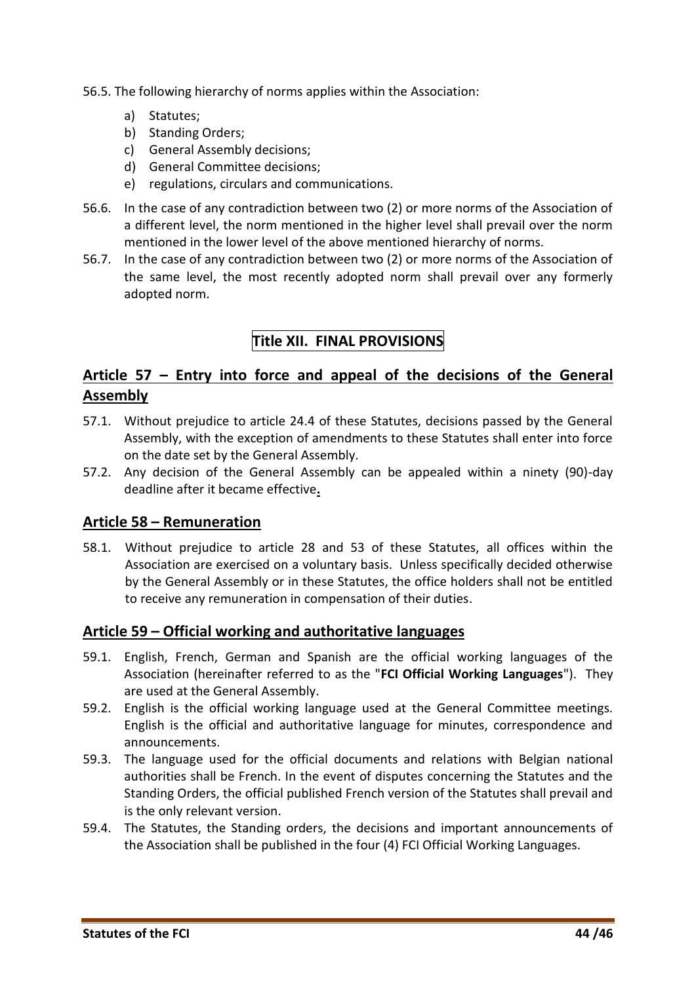- <span id="page-43-4"></span>56.5. The following hierarchy of norms applies within the Association:
	- a) Statutes;
	- b) Standing Orders;
	- c) General Assembly decisions;
	- d) General Committee decisions;
	- e) regulations, circulars and communications.
- 56.6. In the case of any contradiction between two (2) or more norms of the Association of a different level, the norm mentioned in the higher level shall prevail over the norm mentioned in the lower level of the above mentioned hierarchy of norms.
- <span id="page-43-0"></span>56.7. In the case of any contradiction between two (2) or more norms of the Association of the same level, the most recently adopted norm shall prevail over any formerly adopted norm.

# **Title XII. FINAL PROVISIONS**

# <span id="page-43-1"></span>**Article 57 – Entry into force and appeal of the decisions of the General Assembly**

- 57.1. Without prejudice to article 24.4 of these Statutes, decisions passed by the General Assembly, with the exception of amendments to these Statutes shall enter into force on the date set by the General Assembly.
- 57.2. Any decision of the General Assembly can be appealed within a ninety (90)-day deadline after it became effective**.**

#### <span id="page-43-2"></span>**Article 58 – Remuneration**

58.1. Without prejudice to article 28 and 53 of these Statutes, all offices within the Association are exercised on a voluntary basis. Unless specifically decided otherwise by the General Assembly or in these Statutes, the office holders shall not be entitled to receive any remuneration in compensation of their duties.

#### <span id="page-43-3"></span>**Article 59 – Official working and authoritative languages**

- 59.1. English, French, German and Spanish are the official working languages of the Association (hereinafter referred to as the "**FCI Official Working Languages**"). They are used at the General Assembly.
- 59.2. English is the official working language used at the General Committee meetings. English is the official and authoritative language for minutes, correspondence and announcements.
- 59.3. The language used for the official documents and relations with Belgian national authorities shall be French. In the event of disputes concerning the Statutes and the Standing Orders, the official published French version of the Statutes shall prevail and is the only relevant version.
- 59.4. The Statutes, the Standing orders, the decisions and important announcements of the Association shall be published in the four (4) FCI Official Working Languages.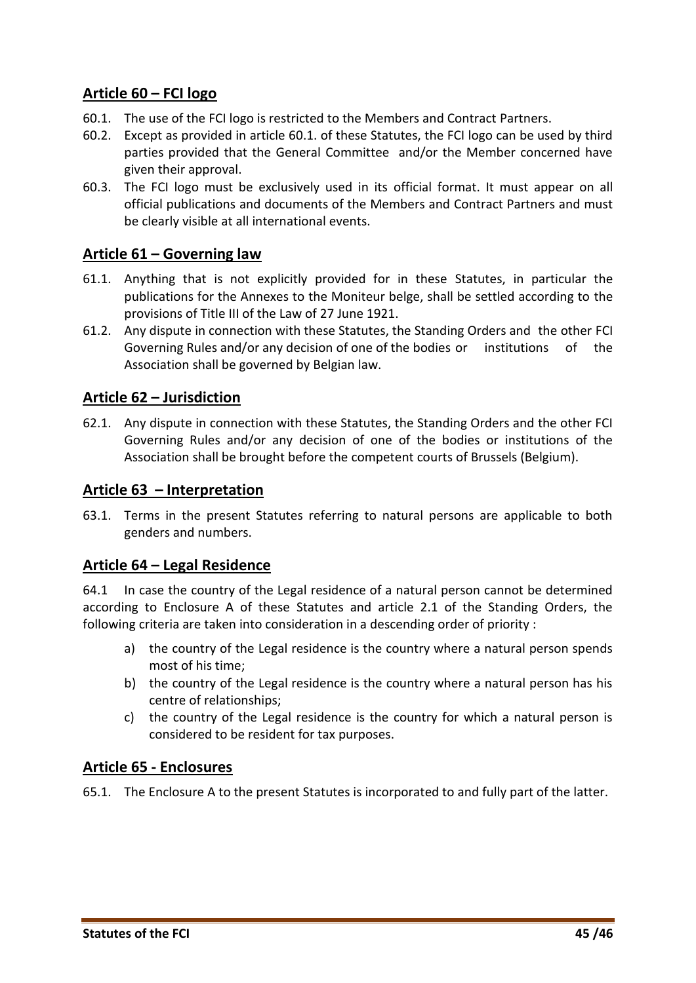# **Article 60 – FCI logo**

- 60.1. The use of the FCI logo is restricted to the Members and Contract Partners.
- 60.2. Except as provided in article 60.1. of these Statutes, the FCI logo can be used by third parties provided that the General Committee and/or the Member concerned have given their approval.
- 60.3. The FCI logo must be exclusively used in its official format. It must appear on all official publications and documents of the Members and Contract Partners and must be clearly visible at all international events.

#### <span id="page-44-0"></span>**Article 61 – Governing law**

- 61.1. Anything that is not explicitly provided for in these Statutes, in particular the publications for the Annexes to the Moniteur belge, shall be settled according to the provisions of Title III of the Law of 27 June 1921.
- 61.2. Any dispute in connection with these Statutes, the Standing Orders and the other FCI Governing Rules and/or any decision of one of the bodies or institutions of the Association shall be governed by Belgian law.

#### <span id="page-44-1"></span>**Article 62 – Jurisdiction**

62.1. Any dispute in connection with these Statutes, the Standing Orders and the other FCI Governing Rules and/or any decision of one of the bodies or institutions of the Association shall be brought before the competent courts of Brussels (Belgium).

#### <span id="page-44-2"></span>**Article 63 – Interpretation**

63.1. Terms in the present Statutes referring to natural persons are applicable to both genders and numbers.

#### <span id="page-44-3"></span>**Article 64 – Legal Residence**

64.1 In case the country of the Legal residence of a natural person cannot be determined according to Enclosure A of these Statutes and article 2.1 of the Standing Orders, the following criteria are taken into consideration in a descending order of priority :

- a) the country of the Legal residence is the country where a natural person spends most of his time;
- b) the country of the Legal residence is the country where a natural person has his centre of relationships;
- c) the country of the Legal residence is the country for which a natural person is considered to be resident for tax purposes.

#### <span id="page-44-4"></span>**Article 65 - Enclosures**

65.1. The Enclosure A to the present Statutes is incorporated to and fully part of the latter.